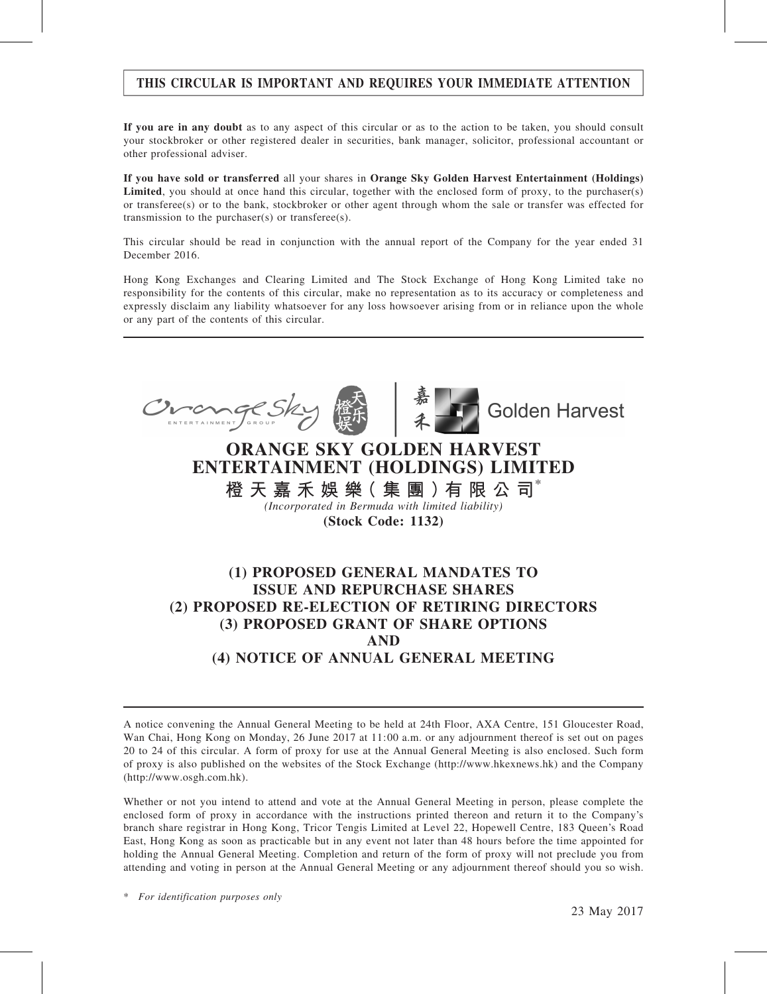## THIS CIRCULAR IS IMPORTANT AND REQUIRES YOUR IMMEDIATE ATTENTION

If you are in any doubt as to any aspect of this circular or as to the action to be taken, you should consult your stockbroker or other registered dealer in securities, bank manager, solicitor, professional accountant or other professional adviser.

If you have sold or transferred all your shares in Orange Sky Golden Harvest Entertainment (Holdings) Limited, you should at once hand this circular, together with the enclosed form of proxy, to the purchaser(s) or transferee(s) or to the bank, stockbroker or other agent through whom the sale or transfer was effected for transmission to the purchaser(s) or transferee(s).

This circular should be read in conjunction with the annual report of the Company for the year ended 31 December 2016.

Hong Kong Exchanges and Clearing Limited and The Stock Exchange of Hong Kong Limited take no responsibility for the contents of this circular, make no representation as to its accuracy or completeness and expressly disclaim any liability whatsoever for any loss howsoever arising from or in reliance upon the whole or any part of the contents of this circular.



A notice convening the Annual General Meeting to be held at 24th Floor, AXA Centre, 151 Gloucester Road, Wan Chai, Hong Kong on Monday, 26 June 2017 at 11:00 a.m. or any adjournment thereof is set out on pages 20 to 24 of this circular. A form of proxy for use at the Annual General Meeting is also enclosed. Such form of proxy is also published on the websites of the Stock Exchange (http://www.hkexnews.hk) and the Company (http://www.osgh.com.hk).

Whether or not you intend to attend and vote at the Annual General Meeting in person, please complete the enclosed form of proxy in accordance with the instructions printed thereon and return it to the Company's branch share registrar in Hong Kong, Tricor Tengis Limited at Level 22, Hopewell Centre, 183 Queen's Road East, Hong Kong as soon as practicable but in any event not later than 48 hours before the time appointed for holding the Annual General Meeting. Completion and return of the form of proxy will not preclude you from attending and voting in person at the Annual General Meeting or any adjournment thereof should you so wish.

\* For identification purposes only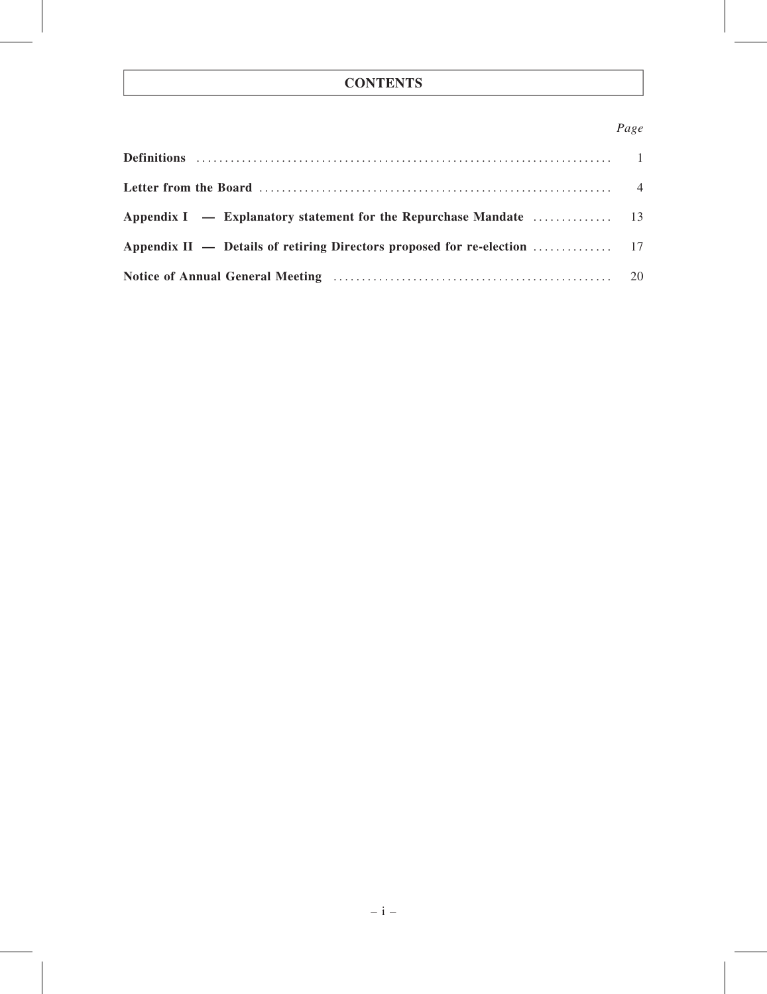## **CONTENTS**

## Page

| Appendix I — Explanatory statement for the Repurchase Mandate $\dots \dots \dots \dots \dots$ 13 |  |
|--------------------------------------------------------------------------------------------------|--|
|                                                                                                  |  |
|                                                                                                  |  |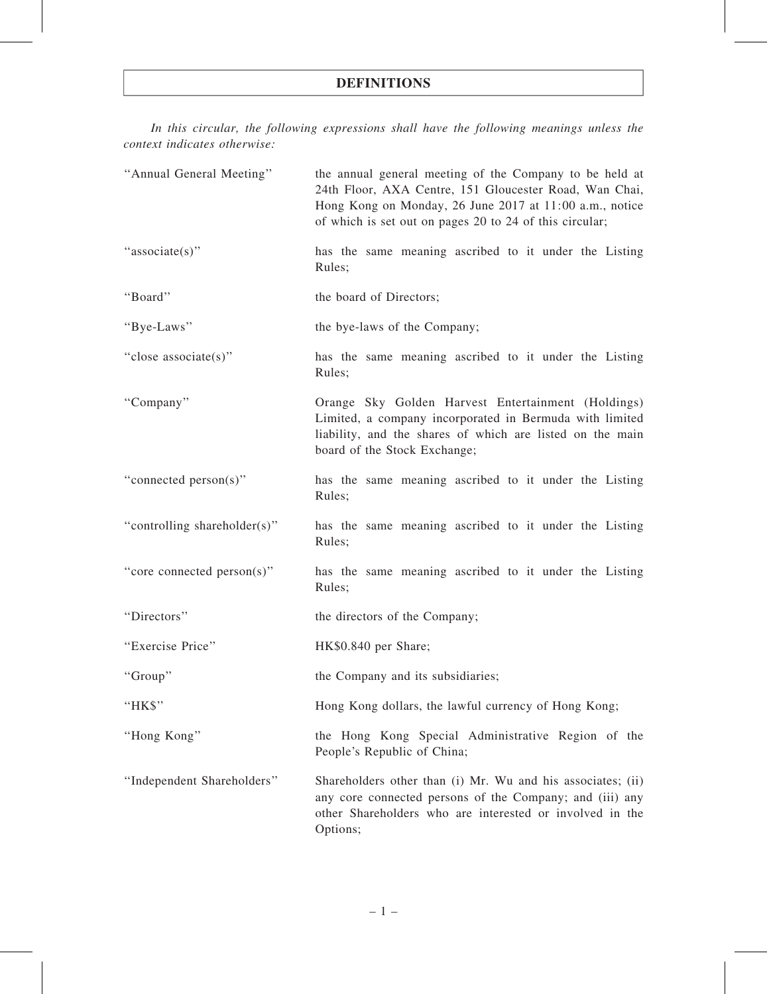In this circular, the following expressions shall have the following meanings unless the context indicates otherwise:

| "Annual General Meeting"     | the annual general meeting of the Company to be held at<br>24th Floor, AXA Centre, 151 Gloucester Road, Wan Chai,<br>Hong Kong on Monday, 26 June 2017 at 11:00 a.m., notice<br>of which is set out on pages 20 to 24 of this circular; |  |  |  |  |  |
|------------------------------|-----------------------------------------------------------------------------------------------------------------------------------------------------------------------------------------------------------------------------------------|--|--|--|--|--|
| "associate(s)"               | has the same meaning ascribed to it under the Listing<br>Rules;                                                                                                                                                                         |  |  |  |  |  |
| "Board"                      | the board of Directors;                                                                                                                                                                                                                 |  |  |  |  |  |
| "Bye-Laws"                   | the bye-laws of the Company;                                                                                                                                                                                                            |  |  |  |  |  |
| "close associate(s)"         | has the same meaning ascribed to it under the Listing<br>Rules;                                                                                                                                                                         |  |  |  |  |  |
| "Company"                    | Orange Sky Golden Harvest Entertainment (Holdings)<br>Limited, a company incorporated in Bermuda with limited<br>liability, and the shares of which are listed on the main<br>board of the Stock Exchange;                              |  |  |  |  |  |
| "connected person(s)"        | has the same meaning ascribed to it under the Listing<br>Rules;                                                                                                                                                                         |  |  |  |  |  |
| "controlling shareholder(s)" | has the same meaning ascribed to it under the Listing<br>Rules;                                                                                                                                                                         |  |  |  |  |  |
| "core connected person(s)"   | has the same meaning ascribed to it under the Listing<br>Rules;                                                                                                                                                                         |  |  |  |  |  |
| "Directors"                  | the directors of the Company;                                                                                                                                                                                                           |  |  |  |  |  |
| "Exercise Price"             | HK\$0.840 per Share;                                                                                                                                                                                                                    |  |  |  |  |  |
| "Group"                      | the Company and its subsidiaries;                                                                                                                                                                                                       |  |  |  |  |  |
| "HK\$"                       | Hong Kong dollars, the lawful currency of Hong Kong;                                                                                                                                                                                    |  |  |  |  |  |
| "Hong Kong"                  | the Hong Kong Special Administrative Region of the<br>People's Republic of China;                                                                                                                                                       |  |  |  |  |  |
| "Independent Shareholders"   | Shareholders other than (i) Mr. Wu and his associates; (ii)<br>any core connected persons of the Company; and (iii) any<br>other Shareholders who are interested or involved in the<br>Options;                                         |  |  |  |  |  |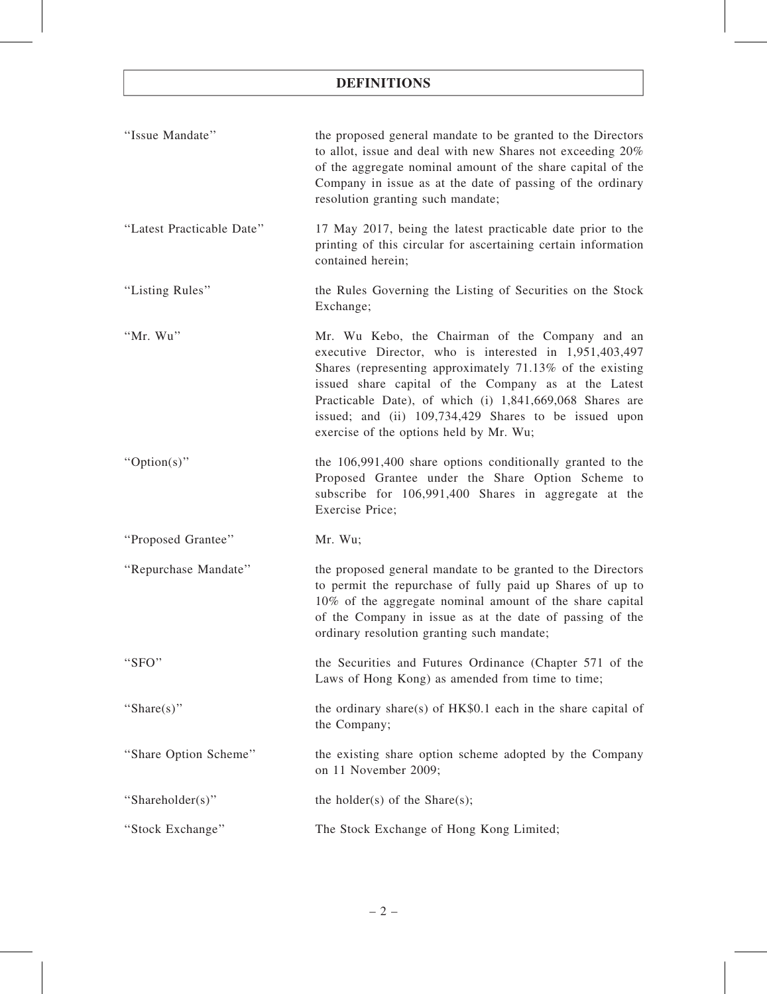## DEFINITIONS

| "Issue Mandate"           | the proposed general mandate to be granted to the Directors<br>to allot, issue and deal with new Shares not exceeding 20%<br>of the aggregate nominal amount of the share capital of the<br>Company in issue as at the date of passing of the ordinary<br>resolution granting such mandate;                                                                                                    |
|---------------------------|------------------------------------------------------------------------------------------------------------------------------------------------------------------------------------------------------------------------------------------------------------------------------------------------------------------------------------------------------------------------------------------------|
| "Latest Practicable Date" | 17 May 2017, being the latest practicable date prior to the<br>printing of this circular for ascertaining certain information<br>contained herein;                                                                                                                                                                                                                                             |
| "Listing Rules"           | the Rules Governing the Listing of Securities on the Stock<br>Exchange;                                                                                                                                                                                                                                                                                                                        |
| "Mr. Wu"                  | Mr. Wu Kebo, the Chairman of the Company and an<br>executive Director, who is interested in 1,951,403,497<br>Shares (representing approximately 71.13% of the existing<br>issued share capital of the Company as at the Latest<br>Practicable Date), of which (i) 1,841,669,068 Shares are<br>issued; and (ii) 109,734,429 Shares to be issued upon<br>exercise of the options held by Mr. Wu; |
| " $Option(s)$ "           | the 106,991,400 share options conditionally granted to the<br>Proposed Grantee under the Share Option Scheme to<br>subscribe for 106,991,400 Shares in aggregate at the<br>Exercise Price;                                                                                                                                                                                                     |
| "Proposed Grantee"        | Mr. Wu;                                                                                                                                                                                                                                                                                                                                                                                        |
| "Repurchase Mandate"      | the proposed general mandate to be granted to the Directors<br>to permit the repurchase of fully paid up Shares of up to<br>10% of the aggregate nominal amount of the share capital<br>of the Company in issue as at the date of passing of the<br>ordinary resolution granting such mandate;                                                                                                 |
| "SFO"                     | the Securities and Futures Ordinance (Chapter 571 of the<br>Laws of Hong Kong) as amended from time to time;                                                                                                                                                                                                                                                                                   |
| "Share(s)"                | the ordinary share(s) of $HK$0.1$ each in the share capital of<br>the Company;                                                                                                                                                                                                                                                                                                                 |
| "Share Option Scheme"     | the existing share option scheme adopted by the Company<br>on 11 November 2009;                                                                                                                                                                                                                                                                                                                |
| "Shareholder(s)"          | the holder(s) of the Share(s);                                                                                                                                                                                                                                                                                                                                                                 |
| "Stock Exchange"          | The Stock Exchange of Hong Kong Limited;                                                                                                                                                                                                                                                                                                                                                       |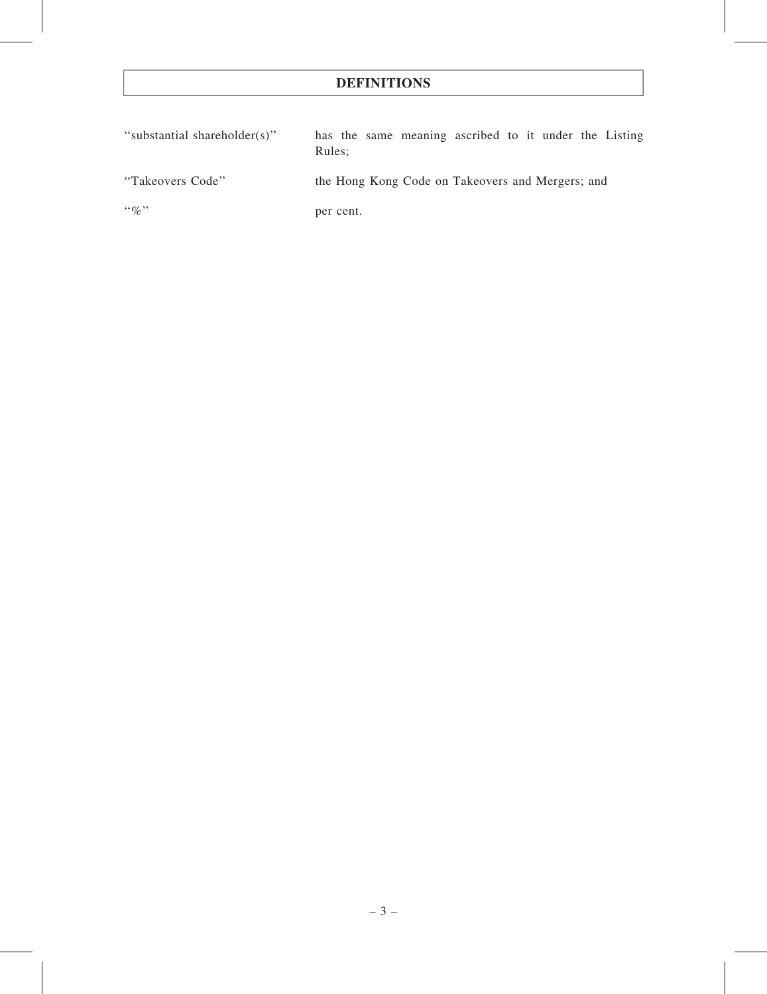## DEFINITIONS

| "substantial shareholder(s)" | has the same meaning ascribed to it under the Listing<br>Rules: |
|------------------------------|-----------------------------------------------------------------|
| "Takeovers Code"             | the Hong Kong Code on Takeovers and Mergers; and                |
| $\lq\lq q_0$ "               | per cent.                                                       |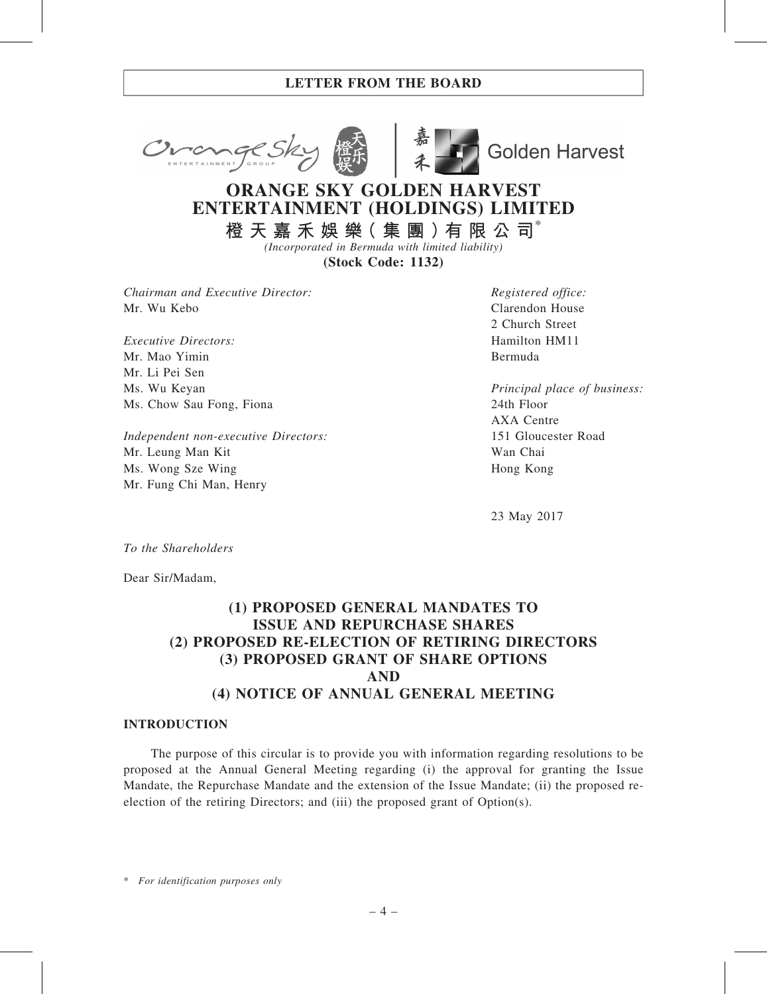



**Golden Harvest** 

# ORANGE SKY GOLDEN HARVEST ENTERTAINMENT (HOLDINGS) LIMITED

橙 天 嘉 禾 娛 樂 ( 集 團 ) 有 限 公 司 $^*$ (Incorporated in Bermuda with limited liability)

(Stock Code: 1132)

Chairman and Executive Director: Mr. Wu Kebo

Executive Directors: Mr. Mao Yimin Mr. Li Pei Sen Ms. Wu Keyan Ms. Chow Sau Fong, Fiona

Independent non-executive Directors: Mr. Leung Man Kit Ms. Wong Sze Wing Mr. Fung Chi Man, Henry

Registered office: Clarendon House 2 Church Street Hamilton HM11 Bermuda

Principal place of business: 24th Floor AXA Centre 151 Gloucester Road Wan Chai Hong Kong

23 May 2017

To the Shareholders

Dear Sir/Madam,

## (1) PROPOSED GENERAL MANDATES TO ISSUE AND REPURCHASE SHARES (2) PROPOSED RE-ELECTION OF RETIRING DIRECTORS (3) PROPOSED GRANT OF SHARE OPTIONS AND (4) NOTICE OF ANNUAL GENERAL MEETING

#### INTRODUCTION

The purpose of this circular is to provide you with information regarding resolutions to be proposed at the Annual General Meeting regarding (i) the approval for granting the Issue Mandate, the Repurchase Mandate and the extension of the Issue Mandate; (ii) the proposed reelection of the retiring Directors; and (iii) the proposed grant of Option(s).

\* For identification purposes only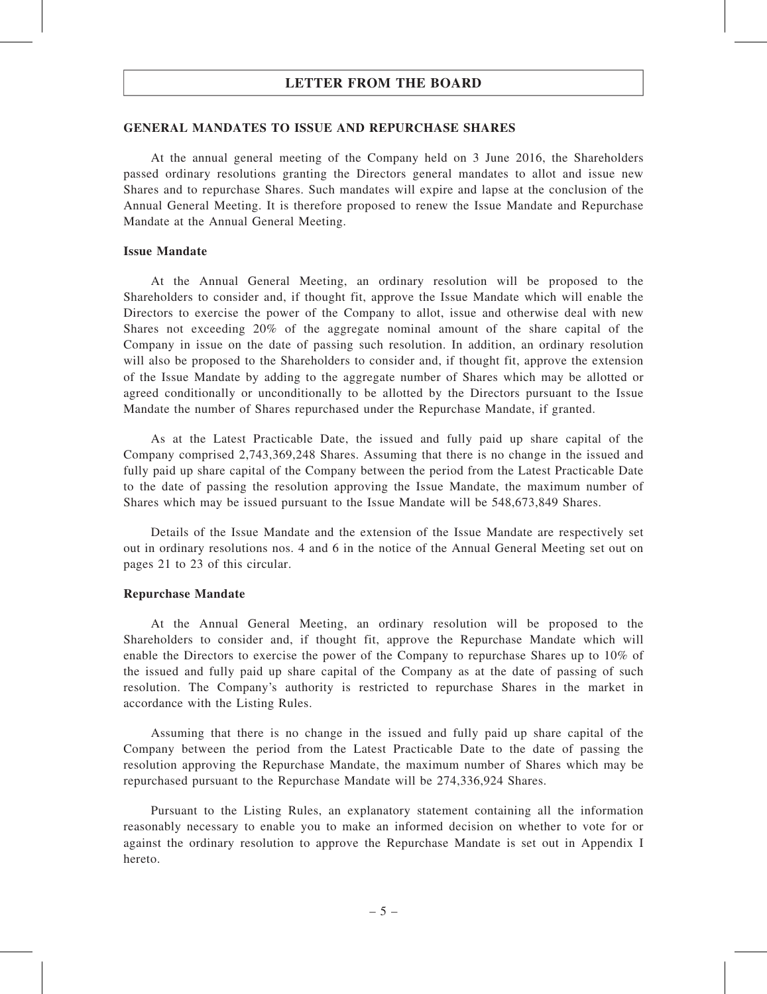#### GENERAL MANDATES TO ISSUE AND REPURCHASE SHARES

At the annual general meeting of the Company held on 3 June 2016, the Shareholders passed ordinary resolutions granting the Directors general mandates to allot and issue new Shares and to repurchase Shares. Such mandates will expire and lapse at the conclusion of the Annual General Meeting. It is therefore proposed to renew the Issue Mandate and Repurchase Mandate at the Annual General Meeting.

#### Issue Mandate

At the Annual General Meeting, an ordinary resolution will be proposed to the Shareholders to consider and, if thought fit, approve the Issue Mandate which will enable the Directors to exercise the power of the Company to allot, issue and otherwise deal with new Shares not exceeding 20% of the aggregate nominal amount of the share capital of the Company in issue on the date of passing such resolution. In addition, an ordinary resolution will also be proposed to the Shareholders to consider and, if thought fit, approve the extension of the Issue Mandate by adding to the aggregate number of Shares which may be allotted or agreed conditionally or unconditionally to be allotted by the Directors pursuant to the Issue Mandate the number of Shares repurchased under the Repurchase Mandate, if granted.

As at the Latest Practicable Date, the issued and fully paid up share capital of the Company comprised 2,743,369,248 Shares. Assuming that there is no change in the issued and fully paid up share capital of the Company between the period from the Latest Practicable Date to the date of passing the resolution approving the Issue Mandate, the maximum number of Shares which may be issued pursuant to the Issue Mandate will be 548,673,849 Shares.

Details of the Issue Mandate and the extension of the Issue Mandate are respectively set out in ordinary resolutions nos. 4 and 6 in the notice of the Annual General Meeting set out on pages 21 to 23 of this circular.

#### Repurchase Mandate

At the Annual General Meeting, an ordinary resolution will be proposed to the Shareholders to consider and, if thought fit, approve the Repurchase Mandate which will enable the Directors to exercise the power of the Company to repurchase Shares up to 10% of the issued and fully paid up share capital of the Company as at the date of passing of such resolution. The Company's authority is restricted to repurchase Shares in the market in accordance with the Listing Rules.

Assuming that there is no change in the issued and fully paid up share capital of the Company between the period from the Latest Practicable Date to the date of passing the resolution approving the Repurchase Mandate, the maximum number of Shares which may be repurchased pursuant to the Repurchase Mandate will be 274,336,924 Shares.

Pursuant to the Listing Rules, an explanatory statement containing all the information reasonably necessary to enable you to make an informed decision on whether to vote for or against the ordinary resolution to approve the Repurchase Mandate is set out in Appendix I hereto.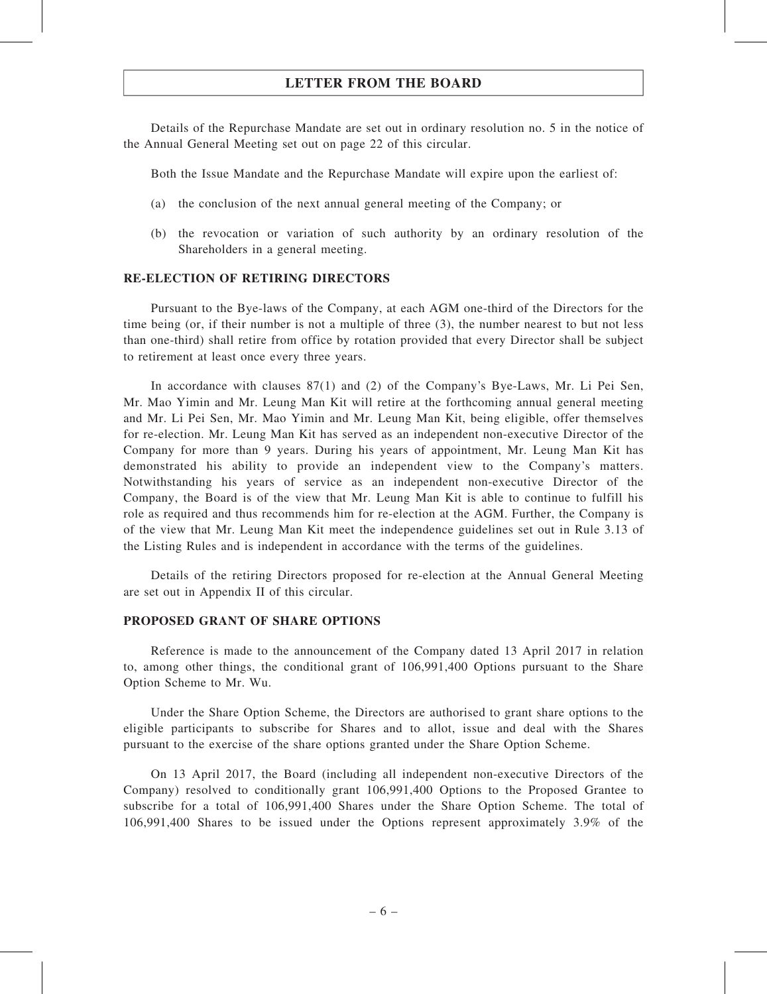Details of the Repurchase Mandate are set out in ordinary resolution no. 5 in the notice of the Annual General Meeting set out on page 22 of this circular.

Both the Issue Mandate and the Repurchase Mandate will expire upon the earliest of:

- (a) the conclusion of the next annual general meeting of the Company; or
- (b) the revocation or variation of such authority by an ordinary resolution of the Shareholders in a general meeting.

#### RE-ELECTION OF RETIRING DIRECTORS

Pursuant to the Bye-laws of the Company, at each AGM one-third of the Directors for the time being (or, if their number is not a multiple of three (3), the number nearest to but not less than one-third) shall retire from office by rotation provided that every Director shall be subject to retirement at least once every three years.

In accordance with clauses 87(1) and (2) of the Company's Bye-Laws, Mr. Li Pei Sen, Mr. Mao Yimin and Mr. Leung Man Kit will retire at the forthcoming annual general meeting and Mr. Li Pei Sen, Mr. Mao Yimin and Mr. Leung Man Kit, being eligible, offer themselves for re-election. Mr. Leung Man Kit has served as an independent non-executive Director of the Company for more than 9 years. During his years of appointment, Mr. Leung Man Kit has demonstrated his ability to provide an independent view to the Company's matters. Notwithstanding his years of service as an independent non-executive Director of the Company, the Board is of the view that Mr. Leung Man Kit is able to continue to fulfill his role as required and thus recommends him for re-election at the AGM. Further, the Company is of the view that Mr. Leung Man Kit meet the independence guidelines set out in Rule 3.13 of the Listing Rules and is independent in accordance with the terms of the guidelines.

Details of the retiring Directors proposed for re-election at the Annual General Meeting are set out in Appendix II of this circular.

#### PROPOSED GRANT OF SHARE OPTIONS

Reference is made to the announcement of the Company dated 13 April 2017 in relation to, among other things, the conditional grant of 106,991,400 Options pursuant to the Share Option Scheme to Mr. Wu.

Under the Share Option Scheme, the Directors are authorised to grant share options to the eligible participants to subscribe for Shares and to allot, issue and deal with the Shares pursuant to the exercise of the share options granted under the Share Option Scheme.

On 13 April 2017, the Board (including all independent non-executive Directors of the Company) resolved to conditionally grant 106,991,400 Options to the Proposed Grantee to subscribe for a total of 106,991,400 Shares under the Share Option Scheme. The total of 106,991,400 Shares to be issued under the Options represent approximately 3.9% of the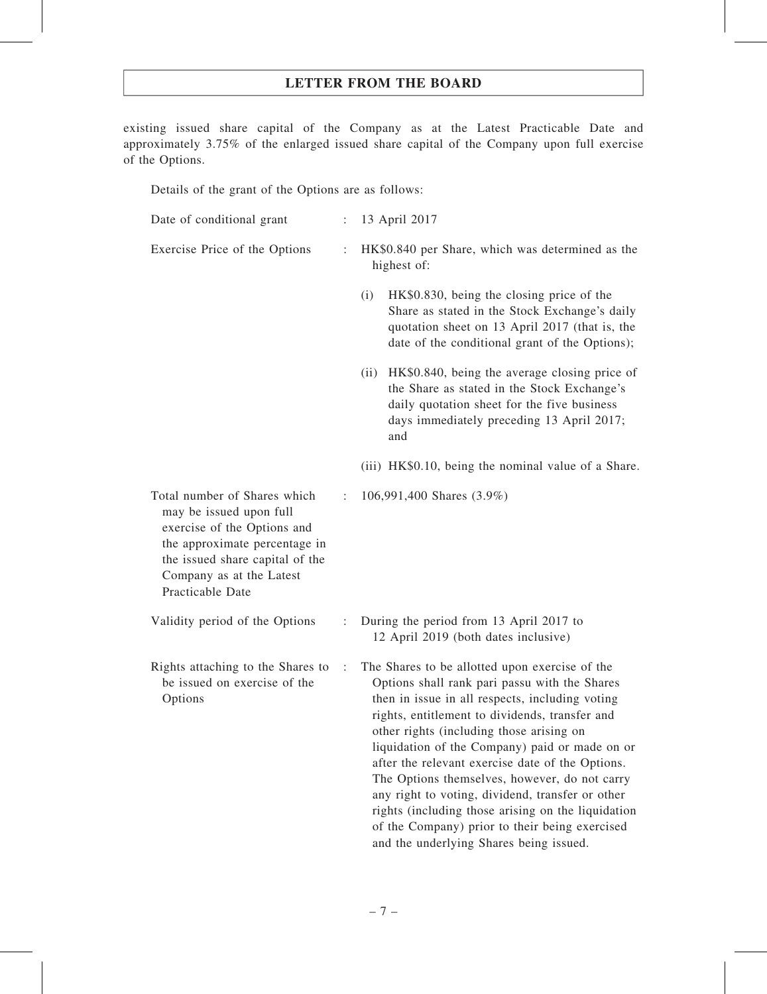existing issued share capital of the Company as at the Latest Practicable Date and approximately 3.75% of the enlarged issued share capital of the Company upon full exercise of the Options.

Details of the grant of the Options are as follows:

| Date of conditional grant                                                                                                                                                                                  |                      | 13 April 2017                                                                                                                                                                                                                                                                                                                                                                                                                                                                                                                                                                                                  |  |
|------------------------------------------------------------------------------------------------------------------------------------------------------------------------------------------------------------|----------------------|----------------------------------------------------------------------------------------------------------------------------------------------------------------------------------------------------------------------------------------------------------------------------------------------------------------------------------------------------------------------------------------------------------------------------------------------------------------------------------------------------------------------------------------------------------------------------------------------------------------|--|
| Exercise Price of the Options                                                                                                                                                                              | $\ddot{\cdot}$       | HK\$0.840 per Share, which was determined as the<br>highest of:                                                                                                                                                                                                                                                                                                                                                                                                                                                                                                                                                |  |
|                                                                                                                                                                                                            |                      | HK\$0.830, being the closing price of the<br>(i)<br>Share as stated in the Stock Exchange's daily<br>quotation sheet on 13 April 2017 (that is, the<br>date of the conditional grant of the Options);                                                                                                                                                                                                                                                                                                                                                                                                          |  |
|                                                                                                                                                                                                            |                      | HK\$0.840, being the average closing price of<br>(ii)<br>the Share as stated in the Stock Exchange's<br>daily quotation sheet for the five business<br>days immediately preceding 13 April 2017;<br>and                                                                                                                                                                                                                                                                                                                                                                                                        |  |
|                                                                                                                                                                                                            |                      | (iii) HK\$0.10, being the nominal value of a Share.                                                                                                                                                                                                                                                                                                                                                                                                                                                                                                                                                            |  |
| Total number of Shares which<br>may be issued upon full<br>exercise of the Options and<br>the approximate percentage in<br>the issued share capital of the<br>Company as at the Latest<br>Practicable Date |                      | 106,991,400 Shares (3.9%)                                                                                                                                                                                                                                                                                                                                                                                                                                                                                                                                                                                      |  |
| Validity period of the Options                                                                                                                                                                             |                      | During the period from 13 April 2017 to<br>12 April 2019 (both dates inclusive)                                                                                                                                                                                                                                                                                                                                                                                                                                                                                                                                |  |
| Rights attaching to the Shares to<br>be issued on exercise of the<br>Options                                                                                                                               | $\ddot{\phantom{a}}$ | The Shares to be allotted upon exercise of the<br>Options shall rank pari passu with the Shares<br>then in issue in all respects, including voting<br>rights, entitlement to dividends, transfer and<br>other rights (including those arising on<br>liquidation of the Company) paid or made on or<br>after the relevant exercise date of the Options.<br>The Options themselves, however, do not carry<br>any right to voting, dividend, transfer or other<br>rights (including those arising on the liquidation<br>of the Company) prior to their being exercised<br>and the underlying Shares being issued. |  |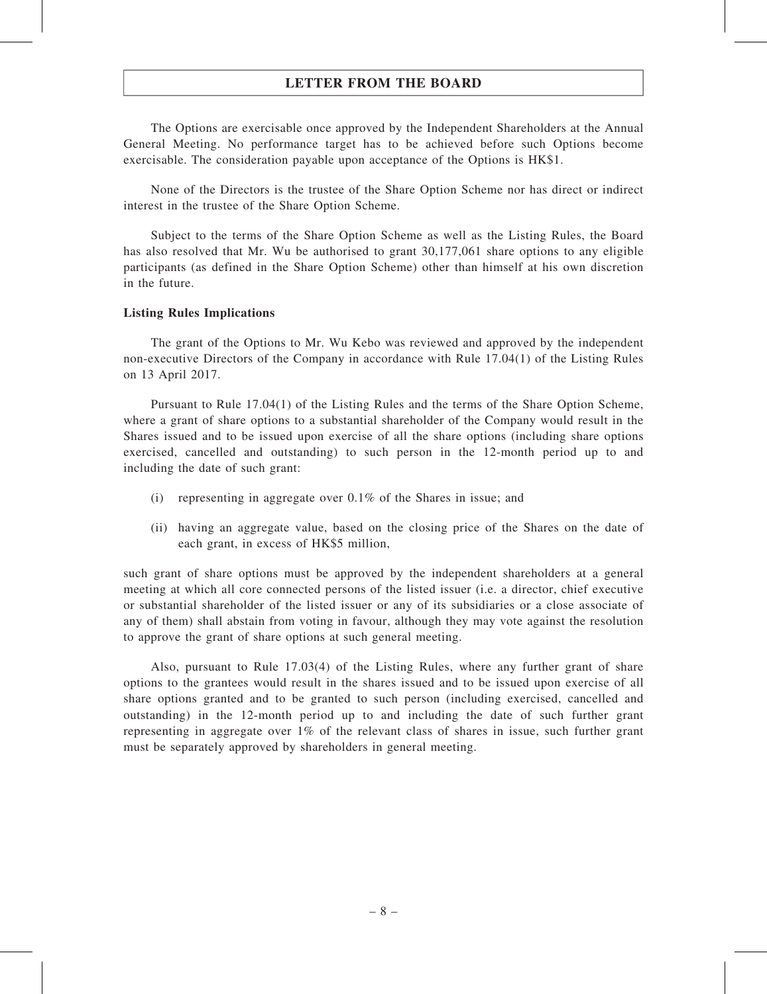The Options are exercisable once approved by the Independent Shareholders at the Annual General Meeting. No performance target has to be achieved before such Options become exercisable. The consideration payable upon acceptance of the Options is HK\$1.

None of the Directors is the trustee of the Share Option Scheme nor has direct or indirect interest in the trustee of the Share Option Scheme.

Subject to the terms of the Share Option Scheme as well as the Listing Rules, the Board has also resolved that Mr. Wu be authorised to grant 30,177,061 share options to any eligible participants (as defined in the Share Option Scheme) other than himself at his own discretion in the future.

#### Listing Rules Implications

The grant of the Options to Mr. Wu Kebo was reviewed and approved by the independent non-executive Directors of the Company in accordance with Rule 17.04(1) of the Listing Rules on 13 April 2017.

Pursuant to Rule 17.04(1) of the Listing Rules and the terms of the Share Option Scheme, where a grant of share options to a substantial shareholder of the Company would result in the Shares issued and to be issued upon exercise of all the share options (including share options exercised, cancelled and outstanding) to such person in the 12-month period up to and including the date of such grant:

- (i) representing in aggregate over 0.1% of the Shares in issue; and
- (ii) having an aggregate value, based on the closing price of the Shares on the date of each grant, in excess of HK\$5 million,

such grant of share options must be approved by the independent shareholders at a general meeting at which all core connected persons of the listed issuer (i.e. a director, chief executive or substantial shareholder of the listed issuer or any of its subsidiaries or a close associate of any of them) shall abstain from voting in favour, although they may vote against the resolution to approve the grant of share options at such general meeting.

Also, pursuant to Rule 17.03(4) of the Listing Rules, where any further grant of share options to the grantees would result in the shares issued and to be issued upon exercise of all share options granted and to be granted to such person (including exercised, cancelled and outstanding) in the 12-month period up to and including the date of such further grant representing in aggregate over 1% of the relevant class of shares in issue, such further grant must be separately approved by shareholders in general meeting.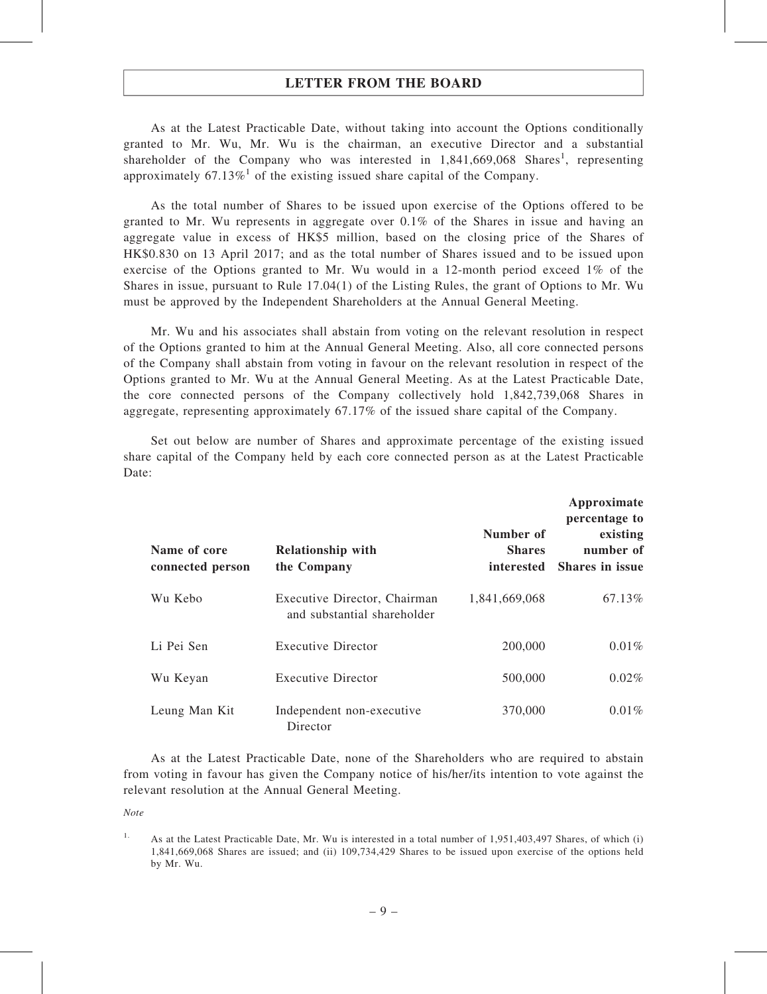As at the Latest Practicable Date, without taking into account the Options conditionally granted to Mr. Wu, Mr. Wu is the chairman, an executive Director and a substantial shareholder of the Company who was interested in  $1,841,669,068$  Shares<sup>1</sup>, representing approximately 67.13%<sup>1</sup> of the existing issued share capital of the Company.

As the total number of Shares to be issued upon exercise of the Options offered to be granted to Mr. Wu represents in aggregate over 0.1% of the Shares in issue and having an aggregate value in excess of HK\$5 million, based on the closing price of the Shares of HK\$0.830 on 13 April 2017; and as the total number of Shares issued and to be issued upon exercise of the Options granted to Mr. Wu would in a 12-month period exceed 1% of the Shares in issue, pursuant to Rule 17.04(1) of the Listing Rules, the grant of Options to Mr. Wu must be approved by the Independent Shareholders at the Annual General Meeting.

Mr. Wu and his associates shall abstain from voting on the relevant resolution in respect of the Options granted to him at the Annual General Meeting. Also, all core connected persons of the Company shall abstain from voting in favour on the relevant resolution in respect of the Options granted to Mr. Wu at the Annual General Meeting. As at the Latest Practicable Date, the core connected persons of the Company collectively hold 1,842,739,068 Shares in aggregate, representing approximately 67.17% of the issued share capital of the Company.

Set out below are number of Shares and approximate percentage of the existing issued share capital of the Company held by each core connected person as at the Latest Practicable Date:

| Name of core<br>connected person | <b>Relationship with</b><br>the Company                     | Number of<br><b>Shares</b><br>interested | Approximate<br>percentage to<br>existing<br>number of<br><b>Shares in issue</b> |
|----------------------------------|-------------------------------------------------------------|------------------------------------------|---------------------------------------------------------------------------------|
| Wu Kebo                          | Executive Director, Chairman<br>and substantial shareholder | 1,841,669,068                            | 67.13%                                                                          |
| Li Pei Sen                       | <b>Executive Director</b>                                   | 200,000                                  | 0.01%                                                                           |
| Wu Keyan                         | <b>Executive Director</b>                                   | 500,000                                  | 0.02%                                                                           |
| Leung Man Kit                    | Independent non-executive<br>Director                       | 370,000                                  | 0.01%                                                                           |

As at the Latest Practicable Date, none of the Shareholders who are required to abstain from voting in favour has given the Company notice of his/her/its intention to vote against the relevant resolution at the Annual General Meeting.

Note

<sup>&</sup>lt;sup>1.</sup> As at the Latest Practicable Date, Mr. Wu is interested in a total number of 1,951,403,497 Shares, of which (i) 1,841,669,068 Shares are issued; and (ii) 109,734,429 Shares to be issued upon exercise of the options held by Mr. Wu.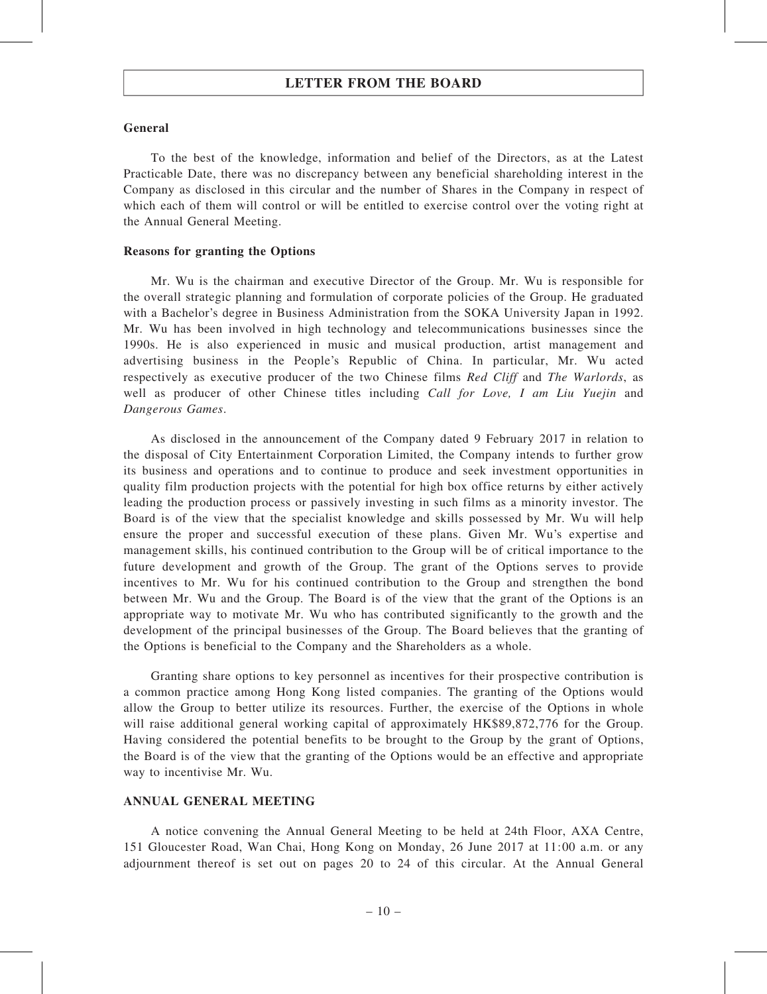#### General

To the best of the knowledge, information and belief of the Directors, as at the Latest Practicable Date, there was no discrepancy between any beneficial shareholding interest in the Company as disclosed in this circular and the number of Shares in the Company in respect of which each of them will control or will be entitled to exercise control over the voting right at the Annual General Meeting.

#### Reasons for granting the Options

Mr. Wu is the chairman and executive Director of the Group. Mr. Wu is responsible for the overall strategic planning and formulation of corporate policies of the Group. He graduated with a Bachelor's degree in Business Administration from the SOKA University Japan in 1992. Mr. Wu has been involved in high technology and telecommunications businesses since the 1990s. He is also experienced in music and musical production, artist management and advertising business in the People's Republic of China. In particular, Mr. Wu acted respectively as executive producer of the two Chinese films Red Cliff and The Warlords, as well as producer of other Chinese titles including Call for Love, I am Liu Yuejin and Dangerous Games.

As disclosed in the announcement of the Company dated 9 February 2017 in relation to the disposal of City Entertainment Corporation Limited, the Company intends to further grow its business and operations and to continue to produce and seek investment opportunities in quality film production projects with the potential for high box office returns by either actively leading the production process or passively investing in such films as a minority investor. The Board is of the view that the specialist knowledge and skills possessed by Mr. Wu will help ensure the proper and successful execution of these plans. Given Mr. Wu's expertise and management skills, his continued contribution to the Group will be of critical importance to the future development and growth of the Group. The grant of the Options serves to provide incentives to Mr. Wu for his continued contribution to the Group and strengthen the bond between Mr. Wu and the Group. The Board is of the view that the grant of the Options is an appropriate way to motivate Mr. Wu who has contributed significantly to the growth and the development of the principal businesses of the Group. The Board believes that the granting of the Options is beneficial to the Company and the Shareholders as a whole.

Granting share options to key personnel as incentives for their prospective contribution is a common practice among Hong Kong listed companies. The granting of the Options would allow the Group to better utilize its resources. Further, the exercise of the Options in whole will raise additional general working capital of approximately HK\$89,872,776 for the Group. Having considered the potential benefits to be brought to the Group by the grant of Options, the Board is of the view that the granting of the Options would be an effective and appropriate way to incentivise Mr. Wu.

#### ANNUAL GENERAL MEETING

A notice convening the Annual General Meeting to be held at 24th Floor, AXA Centre, 151 Gloucester Road, Wan Chai, Hong Kong on Monday, 26 June 2017 at 11:00 a.m. or any adjournment thereof is set out on pages 20 to 24 of this circular. At the Annual General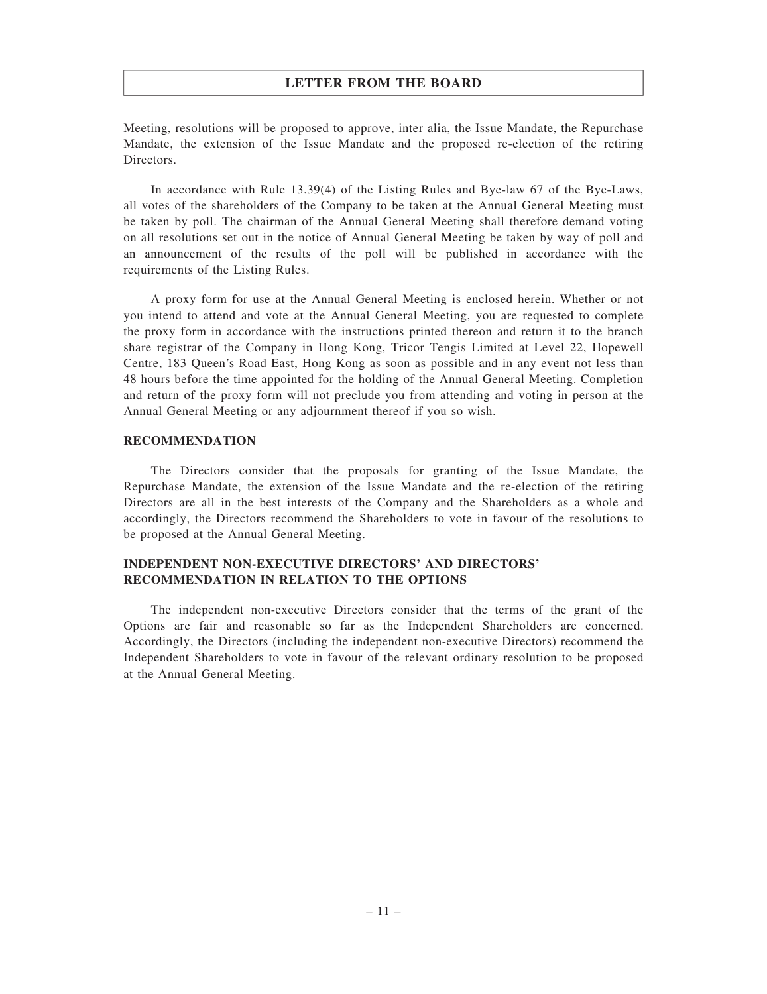Meeting, resolutions will be proposed to approve, inter alia, the Issue Mandate, the Repurchase Mandate, the extension of the Issue Mandate and the proposed re-election of the retiring Directors.

In accordance with Rule 13.39(4) of the Listing Rules and Bye-law 67 of the Bye-Laws, all votes of the shareholders of the Company to be taken at the Annual General Meeting must be taken by poll. The chairman of the Annual General Meeting shall therefore demand voting on all resolutions set out in the notice of Annual General Meeting be taken by way of poll and an announcement of the results of the poll will be published in accordance with the requirements of the Listing Rules.

A proxy form for use at the Annual General Meeting is enclosed herein. Whether or not you intend to attend and vote at the Annual General Meeting, you are requested to complete the proxy form in accordance with the instructions printed thereon and return it to the branch share registrar of the Company in Hong Kong, Tricor Tengis Limited at Level 22, Hopewell Centre, 183 Queen's Road East, Hong Kong as soon as possible and in any event not less than 48 hours before the time appointed for the holding of the Annual General Meeting. Completion and return of the proxy form will not preclude you from attending and voting in person at the Annual General Meeting or any adjournment thereof if you so wish.

#### RECOMMENDATION

The Directors consider that the proposals for granting of the Issue Mandate, the Repurchase Mandate, the extension of the Issue Mandate and the re-election of the retiring Directors are all in the best interests of the Company and the Shareholders as a whole and accordingly, the Directors recommend the Shareholders to vote in favour of the resolutions to be proposed at the Annual General Meeting.

#### INDEPENDENT NON-EXECUTIVE DIRECTORS' AND DIRECTORS' RECOMMENDATION IN RELATION TO THE OPTIONS

The independent non-executive Directors consider that the terms of the grant of the Options are fair and reasonable so far as the Independent Shareholders are concerned. Accordingly, the Directors (including the independent non-executive Directors) recommend the Independent Shareholders to vote in favour of the relevant ordinary resolution to be proposed at the Annual General Meeting.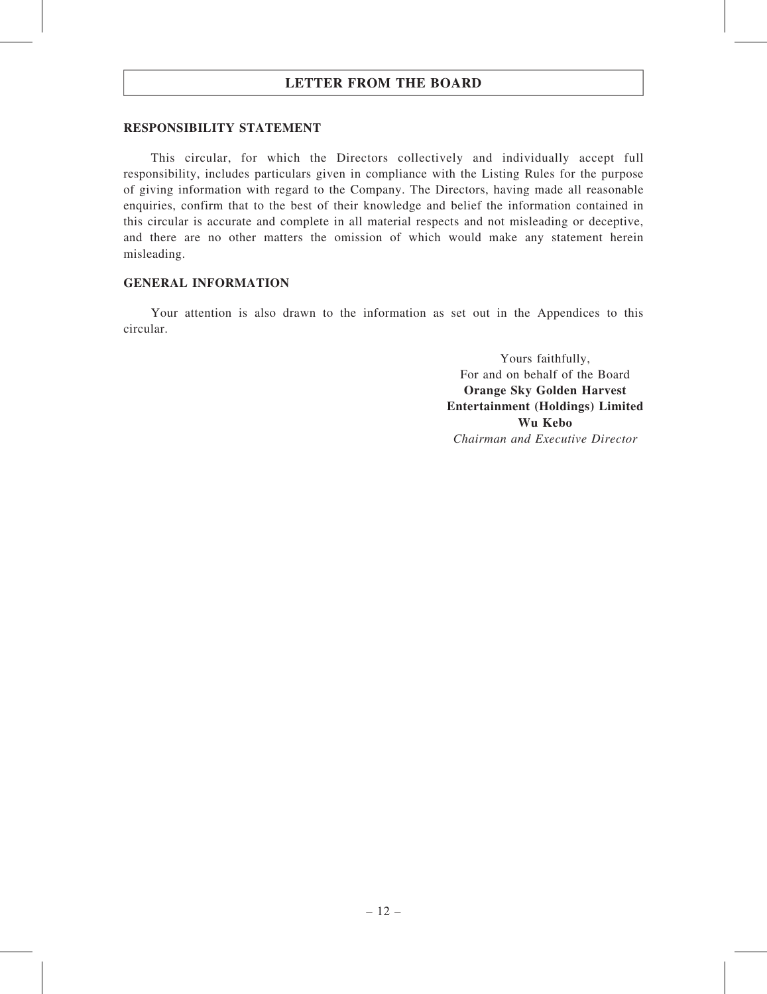#### RESPONSIBILITY STATEMENT

This circular, for which the Directors collectively and individually accept full responsibility, includes particulars given in compliance with the Listing Rules for the purpose of giving information with regard to the Company. The Directors, having made all reasonable enquiries, confirm that to the best of their knowledge and belief the information contained in this circular is accurate and complete in all material respects and not misleading or deceptive, and there are no other matters the omission of which would make any statement herein misleading.

#### GENERAL INFORMATION

Your attention is also drawn to the information as set out in the Appendices to this circular.

> Yours faithfully, For and on behalf of the Board Orange Sky Golden Harvest Entertainment (Holdings) Limited Wu Kebo Chairman and Executive Director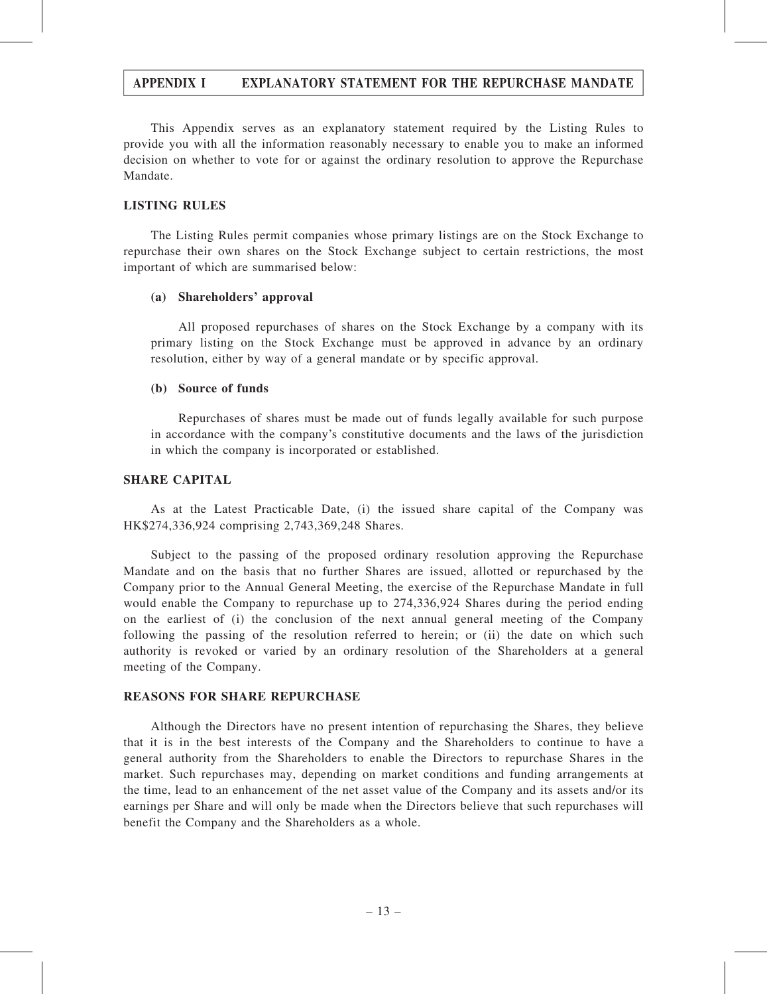This Appendix serves as an explanatory statement required by the Listing Rules to provide you with all the information reasonably necessary to enable you to make an informed decision on whether to vote for or against the ordinary resolution to approve the Repurchase Mandate.

#### LISTING RULES

The Listing Rules permit companies whose primary listings are on the Stock Exchange to repurchase their own shares on the Stock Exchange subject to certain restrictions, the most important of which are summarised below:

#### (a) Shareholders' approval

All proposed repurchases of shares on the Stock Exchange by a company with its primary listing on the Stock Exchange must be approved in advance by an ordinary resolution, either by way of a general mandate or by specific approval.

#### (b) Source of funds

Repurchases of shares must be made out of funds legally available for such purpose in accordance with the company's constitutive documents and the laws of the jurisdiction in which the company is incorporated or established.

#### SHARE CAPITAL

As at the Latest Practicable Date, (i) the issued share capital of the Company was HK\$274,336,924 comprising 2,743,369,248 Shares.

Subject to the passing of the proposed ordinary resolution approving the Repurchase Mandate and on the basis that no further Shares are issued, allotted or repurchased by the Company prior to the Annual General Meeting, the exercise of the Repurchase Mandate in full would enable the Company to repurchase up to 274,336,924 Shares during the period ending on the earliest of (i) the conclusion of the next annual general meeting of the Company following the passing of the resolution referred to herein; or (ii) the date on which such authority is revoked or varied by an ordinary resolution of the Shareholders at a general meeting of the Company.

#### REASONS FOR SHARE REPURCHASE

Although the Directors have no present intention of repurchasing the Shares, they believe that it is in the best interests of the Company and the Shareholders to continue to have a general authority from the Shareholders to enable the Directors to repurchase Shares in the market. Such repurchases may, depending on market conditions and funding arrangements at the time, lead to an enhancement of the net asset value of the Company and its assets and/or its earnings per Share and will only be made when the Directors believe that such repurchases will benefit the Company and the Shareholders as a whole.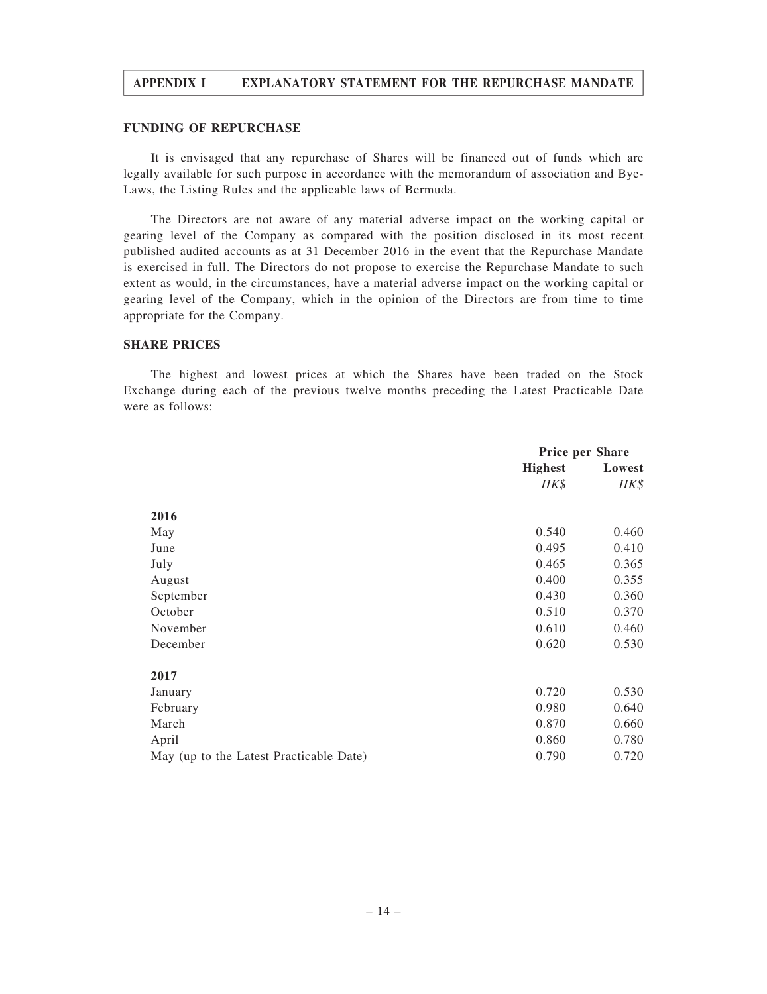#### FUNDING OF REPURCHASE

It is envisaged that any repurchase of Shares will be financed out of funds which are legally available for such purpose in accordance with the memorandum of association and Bye-Laws, the Listing Rules and the applicable laws of Bermuda.

The Directors are not aware of any material adverse impact on the working capital or gearing level of the Company as compared with the position disclosed in its most recent published audited accounts as at 31 December 2016 in the event that the Repurchase Mandate is exercised in full. The Directors do not propose to exercise the Repurchase Mandate to such extent as would, in the circumstances, have a material adverse impact on the working capital or gearing level of the Company, which in the opinion of the Directors are from time to time appropriate for the Company.

#### SHARE PRICES

The highest and lowest prices at which the Shares have been traded on the Stock Exchange during each of the previous twelve months preceding the Latest Practicable Date were as follows:

|                                         | <b>Price per Share</b> |        |
|-----------------------------------------|------------------------|--------|
|                                         | <b>Highest</b>         | Lowest |
|                                         | HK\$                   | HK\$   |
| 2016                                    |                        |        |
| May                                     | 0.540                  | 0.460  |
| June                                    | 0.495                  | 0.410  |
| July                                    | 0.465                  | 0.365  |
| August                                  | 0.400                  | 0.355  |
| September                               | 0.430                  | 0.360  |
| October                                 | 0.510                  | 0.370  |
| November                                | 0.610                  | 0.460  |
| December                                | 0.620                  | 0.530  |
| 2017                                    |                        |        |
| January                                 | 0.720                  | 0.530  |
| February                                | 0.980                  | 0.640  |
| March                                   | 0.870                  | 0.660  |
| April                                   | 0.860                  | 0.780  |
| May (up to the Latest Practicable Date) | 0.790                  | 0.720  |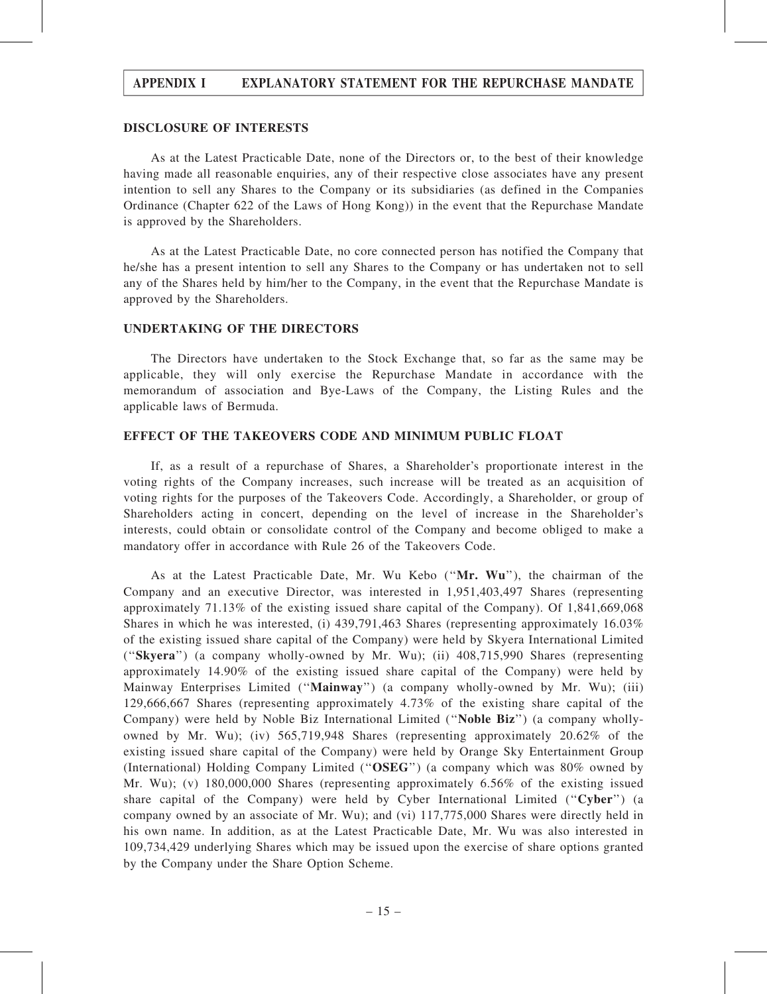#### DISCLOSURE OF INTERESTS

As at the Latest Practicable Date, none of the Directors or, to the best of their knowledge having made all reasonable enquiries, any of their respective close associates have any present intention to sell any Shares to the Company or its subsidiaries (as defined in the Companies Ordinance (Chapter 622 of the Laws of Hong Kong)) in the event that the Repurchase Mandate is approved by the Shareholders.

As at the Latest Practicable Date, no core connected person has notified the Company that he/she has a present intention to sell any Shares to the Company or has undertaken not to sell any of the Shares held by him/her to the Company, in the event that the Repurchase Mandate is approved by the Shareholders.

#### UNDERTAKING OF THE DIRECTORS

The Directors have undertaken to the Stock Exchange that, so far as the same may be applicable, they will only exercise the Repurchase Mandate in accordance with the memorandum of association and Bye-Laws of the Company, the Listing Rules and the applicable laws of Bermuda.

#### EFFECT OF THE TAKEOVERS CODE AND MINIMUM PUBLIC FLOAT

If, as a result of a repurchase of Shares, a Shareholder's proportionate interest in the voting rights of the Company increases, such increase will be treated as an acquisition of voting rights for the purposes of the Takeovers Code. Accordingly, a Shareholder, or group of Shareholders acting in concert, depending on the level of increase in the Shareholder's interests, could obtain or consolidate control of the Company and become obliged to make a mandatory offer in accordance with Rule 26 of the Takeovers Code.

As at the Latest Practicable Date, Mr. Wu Kebo (''Mr. Wu''), the chairman of the Company and an executive Director, was interested in 1,951,403,497 Shares (representing approximately 71.13% of the existing issued share capital of the Company). Of 1,841,669,068 Shares in which he was interested, (i) 439,791,463 Shares (representing approximately 16.03% of the existing issued share capital of the Company) were held by Skyera International Limited (''Skyera'') (a company wholly-owned by Mr. Wu); (ii) 408,715,990 Shares (representing approximately 14.90% of the existing issued share capital of the Company) were held by Mainway Enterprises Limited (''Mainway'') (a company wholly-owned by Mr. Wu); (iii) 129,666,667 Shares (representing approximately 4.73% of the existing share capital of the Company) were held by Noble Biz International Limited (''Noble Biz'') (a company whollyowned by Mr. Wu); (iv) 565,719,948 Shares (representing approximately 20.62% of the existing issued share capital of the Company) were held by Orange Sky Entertainment Group (International) Holding Company Limited (''OSEG'') (a company which was 80% owned by Mr. Wu); (v) 180,000,000 Shares (representing approximately 6.56% of the existing issued share capital of the Company) were held by Cyber International Limited ("Cyber") (a company owned by an associate of Mr. Wu); and (vi) 117,775,000 Shares were directly held in his own name. In addition, as at the Latest Practicable Date, Mr. Wu was also interested in 109,734,429 underlying Shares which may be issued upon the exercise of share options granted by the Company under the Share Option Scheme.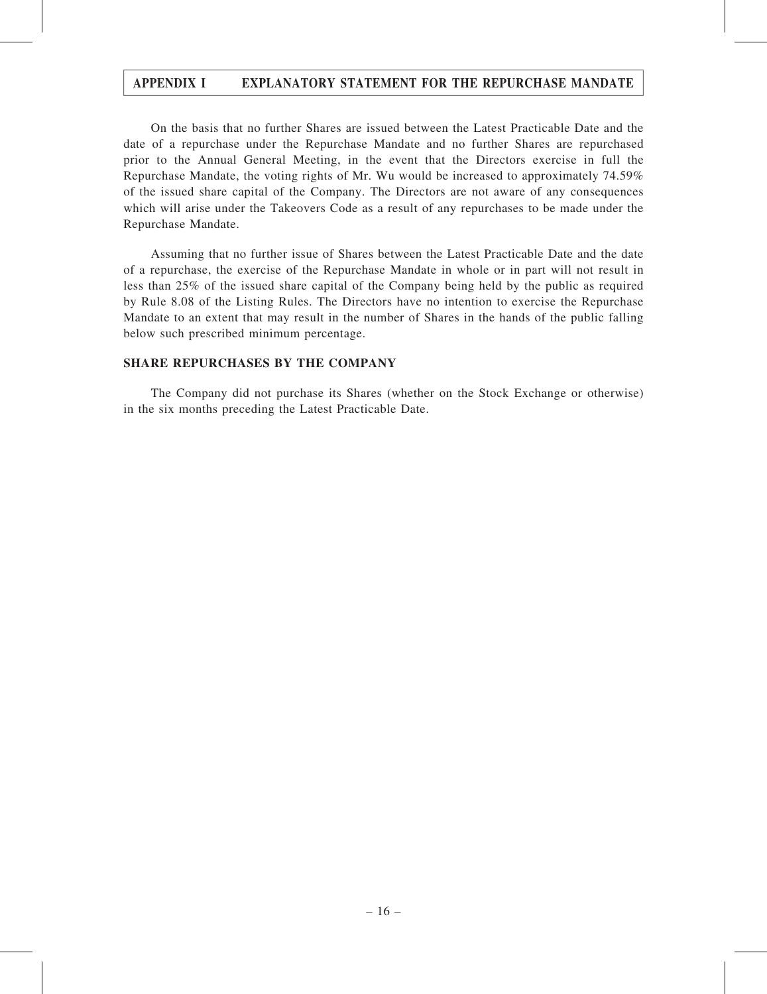On the basis that no further Shares are issued between the Latest Practicable Date and the date of a repurchase under the Repurchase Mandate and no further Shares are repurchased prior to the Annual General Meeting, in the event that the Directors exercise in full the Repurchase Mandate, the voting rights of Mr. Wu would be increased to approximately 74.59% of the issued share capital of the Company. The Directors are not aware of any consequences which will arise under the Takeovers Code as a result of any repurchases to be made under the Repurchase Mandate.

Assuming that no further issue of Shares between the Latest Practicable Date and the date of a repurchase, the exercise of the Repurchase Mandate in whole or in part will not result in less than 25% of the issued share capital of the Company being held by the public as required by Rule 8.08 of the Listing Rules. The Directors have no intention to exercise the Repurchase Mandate to an extent that may result in the number of Shares in the hands of the public falling below such prescribed minimum percentage.

#### SHARE REPURCHASES BY THE COMPANY

The Company did not purchase its Shares (whether on the Stock Exchange or otherwise) in the six months preceding the Latest Practicable Date.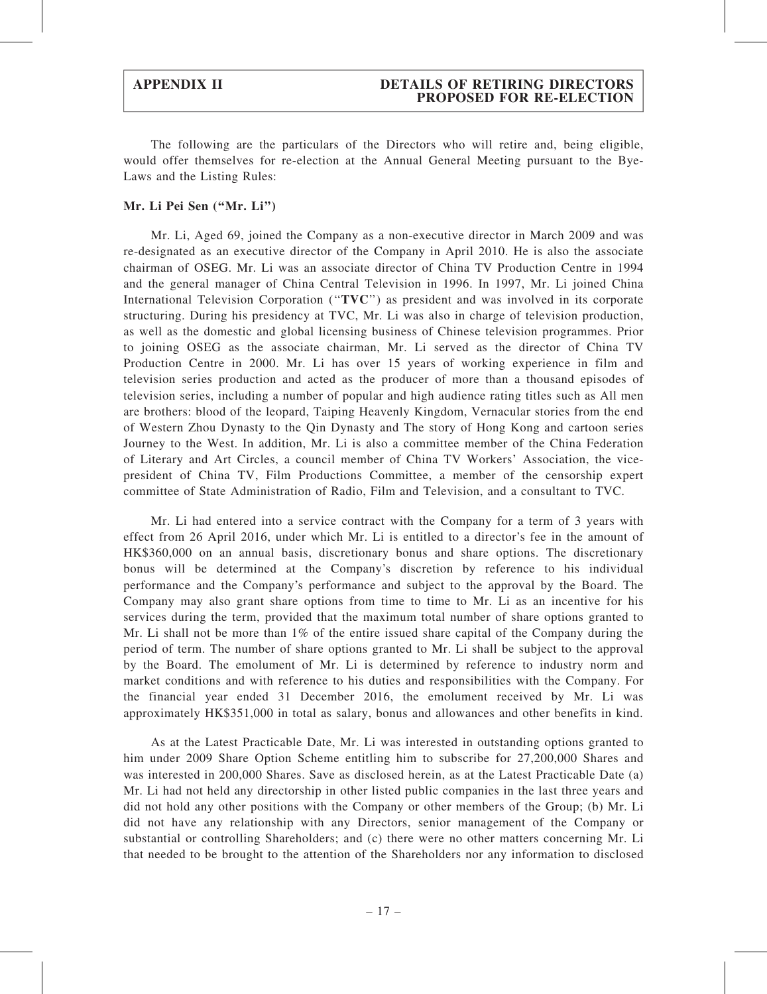#### APPENDIX II DETAILS OF RETIRING DIRECTORS PROPOSED FOR RE-ELECTION

The following are the particulars of the Directors who will retire and, being eligible, would offer themselves for re-election at the Annual General Meeting pursuant to the Bye-Laws and the Listing Rules:

#### Mr. Li Pei Sen (''Mr. Li'')

Mr. Li, Aged 69, joined the Company as a non-executive director in March 2009 and was re-designated as an executive director of the Company in April 2010. He is also the associate chairman of OSEG. Mr. Li was an associate director of China TV Production Centre in 1994 and the general manager of China Central Television in 1996. In 1997, Mr. Li joined China International Television Corporation ("TVC") as president and was involved in its corporate structuring. During his presidency at TVC, Mr. Li was also in charge of television production, as well as the domestic and global licensing business of Chinese television programmes. Prior to joining OSEG as the associate chairman, Mr. Li served as the director of China TV Production Centre in 2000. Mr. Li has over 15 years of working experience in film and television series production and acted as the producer of more than a thousand episodes of television series, including a number of popular and high audience rating titles such as All men are brothers: blood of the leopard, Taiping Heavenly Kingdom, Vernacular stories from the end of Western Zhou Dynasty to the Qin Dynasty and The story of Hong Kong and cartoon series Journey to the West. In addition, Mr. Li is also a committee member of the China Federation of Literary and Art Circles, a council member of China TV Workers' Association, the vicepresident of China TV, Film Productions Committee, a member of the censorship expert committee of State Administration of Radio, Film and Television, and a consultant to TVC.

Mr. Li had entered into a service contract with the Company for a term of 3 years with effect from 26 April 2016, under which Mr. Li is entitled to a director's fee in the amount of HK\$360,000 on an annual basis, discretionary bonus and share options. The discretionary bonus will be determined at the Company's discretion by reference to his individual performance and the Company's performance and subject to the approval by the Board. The Company may also grant share options from time to time to Mr. Li as an incentive for his services during the term, provided that the maximum total number of share options granted to Mr. Li shall not be more than  $1\%$  of the entire issued share capital of the Company during the period of term. The number of share options granted to Mr. Li shall be subject to the approval by the Board. The emolument of Mr. Li is determined by reference to industry norm and market conditions and with reference to his duties and responsibilities with the Company. For the financial year ended 31 December 2016, the emolument received by Mr. Li was approximately HK\$351,000 in total as salary, bonus and allowances and other benefits in kind.

As at the Latest Practicable Date, Mr. Li was interested in outstanding options granted to him under 2009 Share Option Scheme entitling him to subscribe for 27,200,000 Shares and was interested in 200,000 Shares. Save as disclosed herein, as at the Latest Practicable Date (a) Mr. Li had not held any directorship in other listed public companies in the last three years and did not hold any other positions with the Company or other members of the Group; (b) Mr. Li did not have any relationship with any Directors, senior management of the Company or substantial or controlling Shareholders; and (c) there were no other matters concerning Mr. Li that needed to be brought to the attention of the Shareholders nor any information to disclosed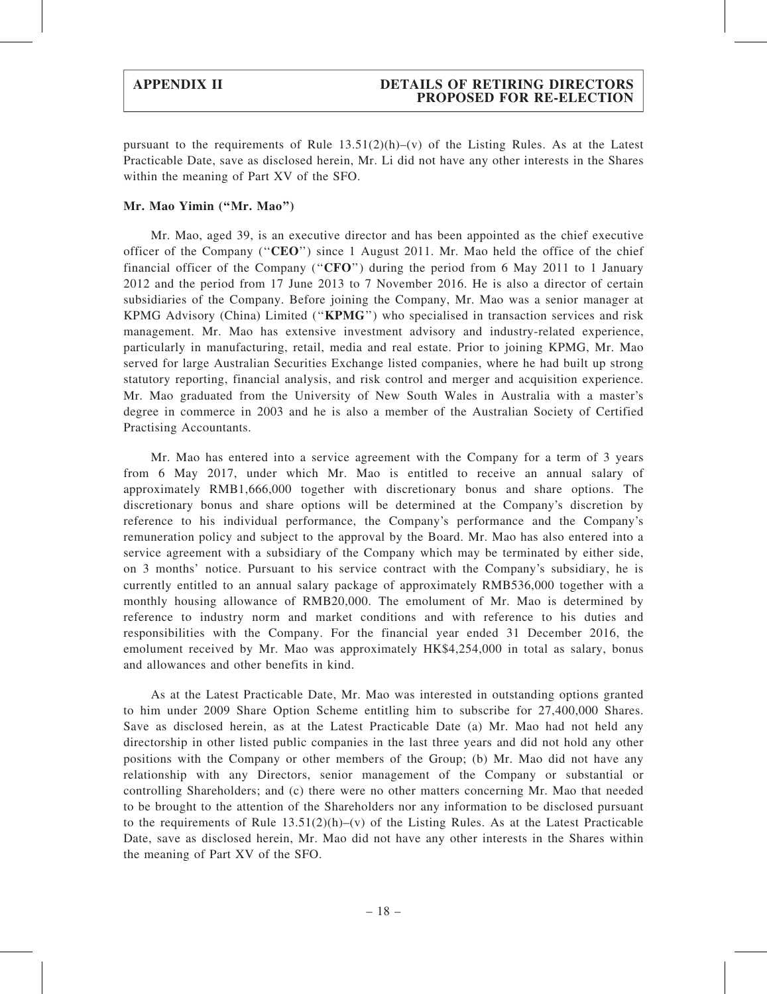pursuant to the requirements of Rule  $13.51(2)(h)$ –(v) of the Listing Rules. As at the Latest Practicable Date, save as disclosed herein, Mr. Li did not have any other interests in the Shares within the meaning of Part XV of the SFO.

#### Mr. Mao Yimin (''Mr. Mao'')

Mr. Mao, aged 39, is an executive director and has been appointed as the chief executive officer of the Company (''CEO'') since 1 August 2011. Mr. Mao held the office of the chief financial officer of the Company ("CFO") during the period from 6 May 2011 to 1 January 2012 and the period from 17 June 2013 to 7 November 2016. He is also a director of certain subsidiaries of the Company. Before joining the Company, Mr. Mao was a senior manager at KPMG Advisory (China) Limited (''KPMG'') who specialised in transaction services and risk management. Mr. Mao has extensive investment advisory and industry-related experience, particularly in manufacturing, retail, media and real estate. Prior to joining KPMG, Mr. Mao served for large Australian Securities Exchange listed companies, where he had built up strong statutory reporting, financial analysis, and risk control and merger and acquisition experience. Mr. Mao graduated from the University of New South Wales in Australia with a master's degree in commerce in 2003 and he is also a member of the Australian Society of Certified Practising Accountants.

Mr. Mao has entered into a service agreement with the Company for a term of 3 years from 6 May 2017, under which Mr. Mao is entitled to receive an annual salary of approximately RMB1,666,000 together with discretionary bonus and share options. The discretionary bonus and share options will be determined at the Company's discretion by reference to his individual performance, the Company's performance and the Company's remuneration policy and subject to the approval by the Board. Mr. Mao has also entered into a service agreement with a subsidiary of the Company which may be terminated by either side, on 3 months' notice. Pursuant to his service contract with the Company's subsidiary, he is currently entitled to an annual salary package of approximately RMB536,000 together with a monthly housing allowance of RMB20,000. The emolument of Mr. Mao is determined by reference to industry norm and market conditions and with reference to his duties and responsibilities with the Company. For the financial year ended 31 December 2016, the emolument received by Mr. Mao was approximately HK\$4,254,000 in total as salary, bonus and allowances and other benefits in kind.

As at the Latest Practicable Date, Mr. Mao was interested in outstanding options granted to him under 2009 Share Option Scheme entitling him to subscribe for 27,400,000 Shares. Save as disclosed herein, as at the Latest Practicable Date (a) Mr. Mao had not held any directorship in other listed public companies in the last three years and did not hold any other positions with the Company or other members of the Group; (b) Mr. Mao did not have any relationship with any Directors, senior management of the Company or substantial or controlling Shareholders; and (c) there were no other matters concerning Mr. Mao that needed to be brought to the attention of the Shareholders nor any information to be disclosed pursuant to the requirements of Rule  $13.51(2)(h)$ –(v) of the Listing Rules. As at the Latest Practicable Date, save as disclosed herein, Mr. Mao did not have any other interests in the Shares within the meaning of Part XV of the SFO.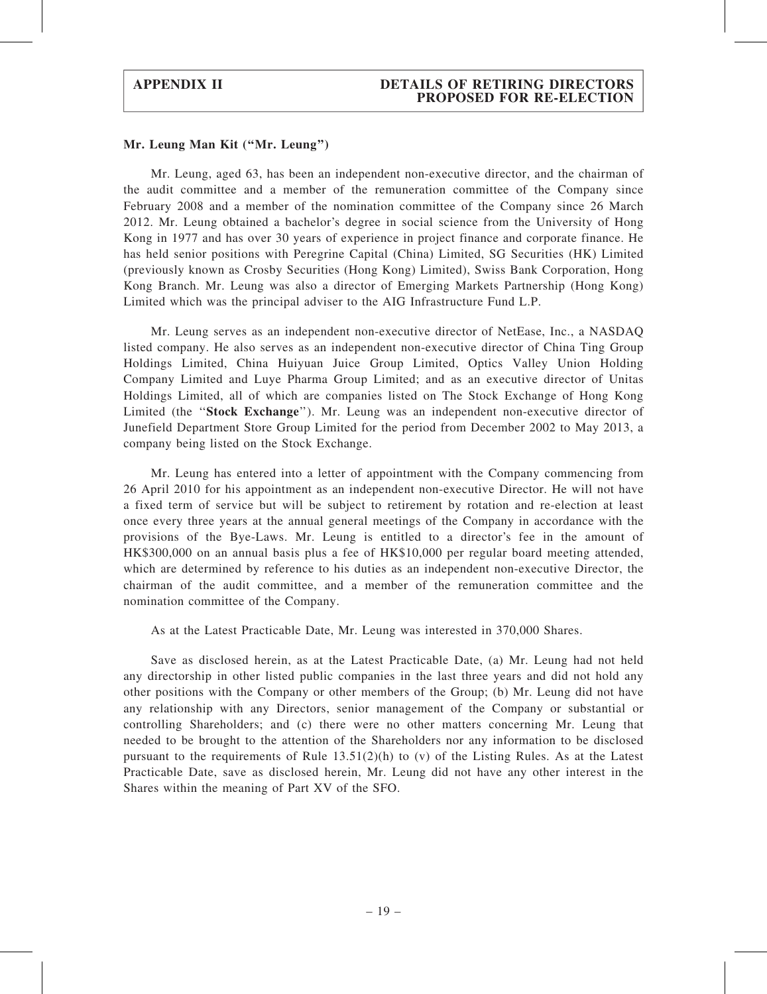#### Mr. Leung Man Kit (''Mr. Leung'')

Mr. Leung, aged 63, has been an independent non-executive director, and the chairman of the audit committee and a member of the remuneration committee of the Company since February 2008 and a member of the nomination committee of the Company since 26 March 2012. Mr. Leung obtained a bachelor's degree in social science from the University of Hong Kong in 1977 and has over 30 years of experience in project finance and corporate finance. He has held senior positions with Peregrine Capital (China) Limited, SG Securities (HK) Limited (previously known as Crosby Securities (Hong Kong) Limited), Swiss Bank Corporation, Hong Kong Branch. Mr. Leung was also a director of Emerging Markets Partnership (Hong Kong) Limited which was the principal adviser to the AIG Infrastructure Fund L.P.

Mr. Leung serves as an independent non-executive director of NetEase, Inc., a NASDAQ listed company. He also serves as an independent non-executive director of China Ting Group Holdings Limited, China Huiyuan Juice Group Limited, Optics Valley Union Holding Company Limited and Luye Pharma Group Limited; and as an executive director of Unitas Holdings Limited, all of which are companies listed on The Stock Exchange of Hong Kong Limited (the "Stock Exchange"). Mr. Leung was an independent non-executive director of Junefield Department Store Group Limited for the period from December 2002 to May 2013, a company being listed on the Stock Exchange.

Mr. Leung has entered into a letter of appointment with the Company commencing from 26 April 2010 for his appointment as an independent non-executive Director. He will not have a fixed term of service but will be subject to retirement by rotation and re-election at least once every three years at the annual general meetings of the Company in accordance with the provisions of the Bye-Laws. Mr. Leung is entitled to a director's fee in the amount of HK\$300,000 on an annual basis plus a fee of HK\$10,000 per regular board meeting attended, which are determined by reference to his duties as an independent non-executive Director, the chairman of the audit committee, and a member of the remuneration committee and the nomination committee of the Company.

As at the Latest Practicable Date, Mr. Leung was interested in 370,000 Shares.

Save as disclosed herein, as at the Latest Practicable Date, (a) Mr. Leung had not held any directorship in other listed public companies in the last three years and did not hold any other positions with the Company or other members of the Group; (b) Mr. Leung did not have any relationship with any Directors, senior management of the Company or substantial or controlling Shareholders; and (c) there were no other matters concerning Mr. Leung that needed to be brought to the attention of the Shareholders nor any information to be disclosed pursuant to the requirements of Rule  $13.51(2)(h)$  to (v) of the Listing Rules. As at the Latest Practicable Date, save as disclosed herein, Mr. Leung did not have any other interest in the Shares within the meaning of Part XV of the SFO.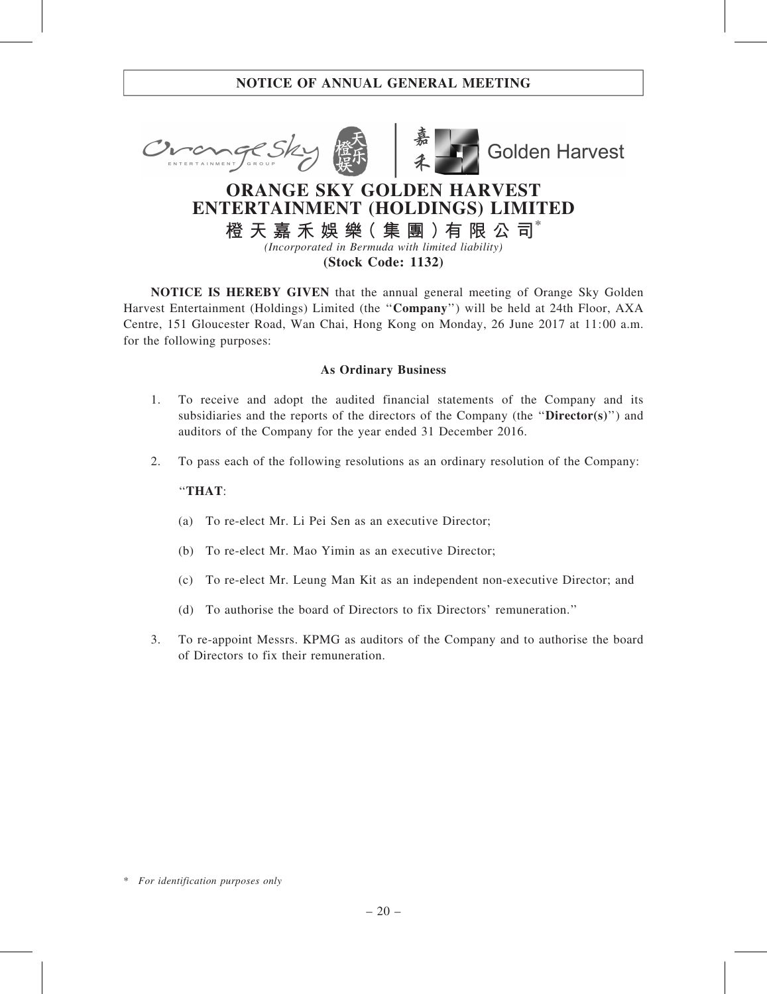



**Golden Harvest** 

# ORANGE SKY GOLDEN HARVEST ENTERTAINMENT (HOLDINGS) LIMITED

橙 天 嘉 禾 娛 樂( 集 團 )有 限 公 司\* (Incorporated in Bermuda with limited liability)

(Stock Code: 1132)

NOTICE IS HEREBY GIVEN that the annual general meeting of Orange Sky Golden Harvest Entertainment (Holdings) Limited (the ''Company'') will be held at 24th Floor, AXA Centre, 151 Gloucester Road, Wan Chai, Hong Kong on Monday, 26 June 2017 at 11:00 a.m. for the following purposes:

## As Ordinary Business

- 1. To receive and adopt the audited financial statements of the Company and its subsidiaries and the reports of the directors of the Company (the " $\text{Directory}(s)$ ") and auditors of the Company for the year ended 31 December 2016.
- 2. To pass each of the following resolutions as an ordinary resolution of the Company:

### ''THAT:

- (a) To re-elect Mr. Li Pei Sen as an executive Director;
- (b) To re-elect Mr. Mao Yimin as an executive Director;
- (c) To re-elect Mr. Leung Man Kit as an independent non-executive Director; and
- (d) To authorise the board of Directors to fix Directors' remuneration.''
- 3. To re-appoint Messrs. KPMG as auditors of the Company and to authorise the board of Directors to fix their remuneration.

<sup>\*</sup> For identification purposes only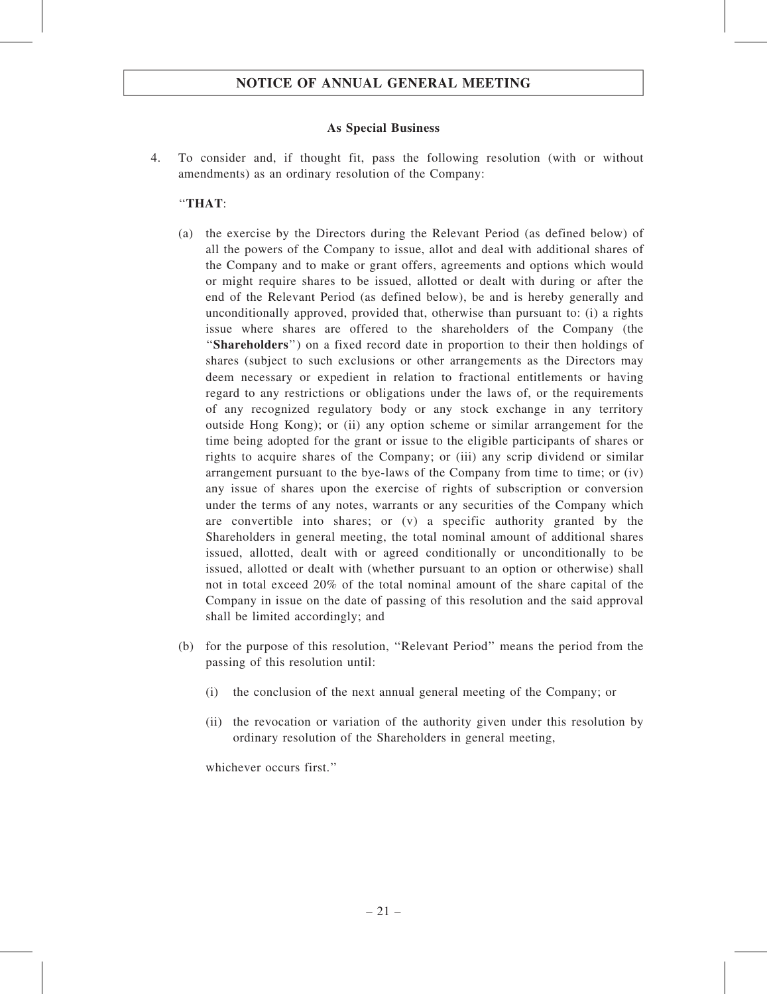#### As Special Business

4. To consider and, if thought fit, pass the following resolution (with or without amendments) as an ordinary resolution of the Company:

#### ''THAT:

- (a) the exercise by the Directors during the Relevant Period (as defined below) of all the powers of the Company to issue, allot and deal with additional shares of the Company and to make or grant offers, agreements and options which would or might require shares to be issued, allotted or dealt with during or after the end of the Relevant Period (as defined below), be and is hereby generally and unconditionally approved, provided that, otherwise than pursuant to: (i) a rights issue where shares are offered to the shareholders of the Company (the ''Shareholders'') on a fixed record date in proportion to their then holdings of shares (subject to such exclusions or other arrangements as the Directors may deem necessary or expedient in relation to fractional entitlements or having regard to any restrictions or obligations under the laws of, or the requirements of any recognized regulatory body or any stock exchange in any territory outside Hong Kong); or (ii) any option scheme or similar arrangement for the time being adopted for the grant or issue to the eligible participants of shares or rights to acquire shares of the Company; or (iii) any scrip dividend or similar arrangement pursuant to the bye-laws of the Company from time to time; or (iv) any issue of shares upon the exercise of rights of subscription or conversion under the terms of any notes, warrants or any securities of the Company which are convertible into shares; or (v) a specific authority granted by the Shareholders in general meeting, the total nominal amount of additional shares issued, allotted, dealt with or agreed conditionally or unconditionally to be issued, allotted or dealt with (whether pursuant to an option or otherwise) shall not in total exceed 20% of the total nominal amount of the share capital of the Company in issue on the date of passing of this resolution and the said approval shall be limited accordingly; and
- (b) for the purpose of this resolution, ''Relevant Period'' means the period from the passing of this resolution until:
	- (i) the conclusion of the next annual general meeting of the Company; or
	- (ii) the revocation or variation of the authority given under this resolution by ordinary resolution of the Shareholders in general meeting,

whichever occurs first."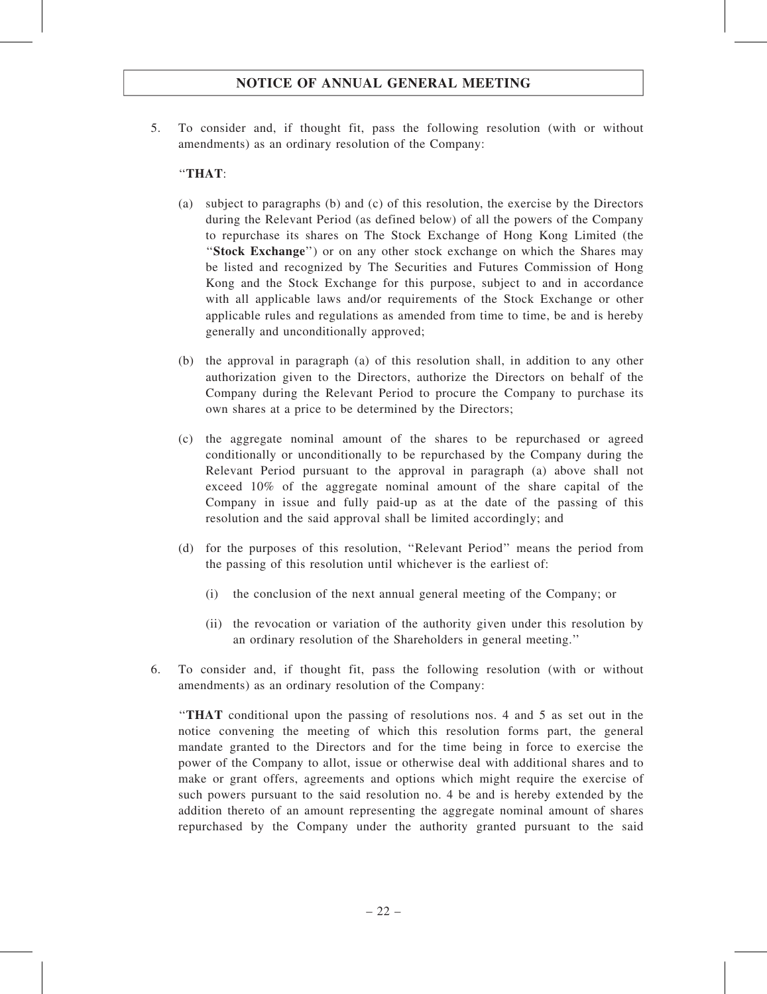5. To consider and, if thought fit, pass the following resolution (with or without amendments) as an ordinary resolution of the Company:

### ''THAT:

- (a) subject to paragraphs (b) and (c) of this resolution, the exercise by the Directors during the Relevant Period (as defined below) of all the powers of the Company to repurchase its shares on The Stock Exchange of Hong Kong Limited (the "Stock Exchange") or on any other stock exchange on which the Shares may be listed and recognized by The Securities and Futures Commission of Hong Kong and the Stock Exchange for this purpose, subject to and in accordance with all applicable laws and/or requirements of the Stock Exchange or other applicable rules and regulations as amended from time to time, be and is hereby generally and unconditionally approved;
- (b) the approval in paragraph (a) of this resolution shall, in addition to any other authorization given to the Directors, authorize the Directors on behalf of the Company during the Relevant Period to procure the Company to purchase its own shares at a price to be determined by the Directors;
- (c) the aggregate nominal amount of the shares to be repurchased or agreed conditionally or unconditionally to be repurchased by the Company during the Relevant Period pursuant to the approval in paragraph (a) above shall not exceed 10% of the aggregate nominal amount of the share capital of the Company in issue and fully paid-up as at the date of the passing of this resolution and the said approval shall be limited accordingly; and
- (d) for the purposes of this resolution, ''Relevant Period'' means the period from the passing of this resolution until whichever is the earliest of:
	- (i) the conclusion of the next annual general meeting of the Company; or
	- (ii) the revocation or variation of the authority given under this resolution by an ordinary resolution of the Shareholders in general meeting.''
- 6. To consider and, if thought fit, pass the following resolution (with or without amendments) as an ordinary resolution of the Company:

''THAT conditional upon the passing of resolutions nos. 4 and 5 as set out in the notice convening the meeting of which this resolution forms part, the general mandate granted to the Directors and for the time being in force to exercise the power of the Company to allot, issue or otherwise deal with additional shares and to make or grant offers, agreements and options which might require the exercise of such powers pursuant to the said resolution no. 4 be and is hereby extended by the addition thereto of an amount representing the aggregate nominal amount of shares repurchased by the Company under the authority granted pursuant to the said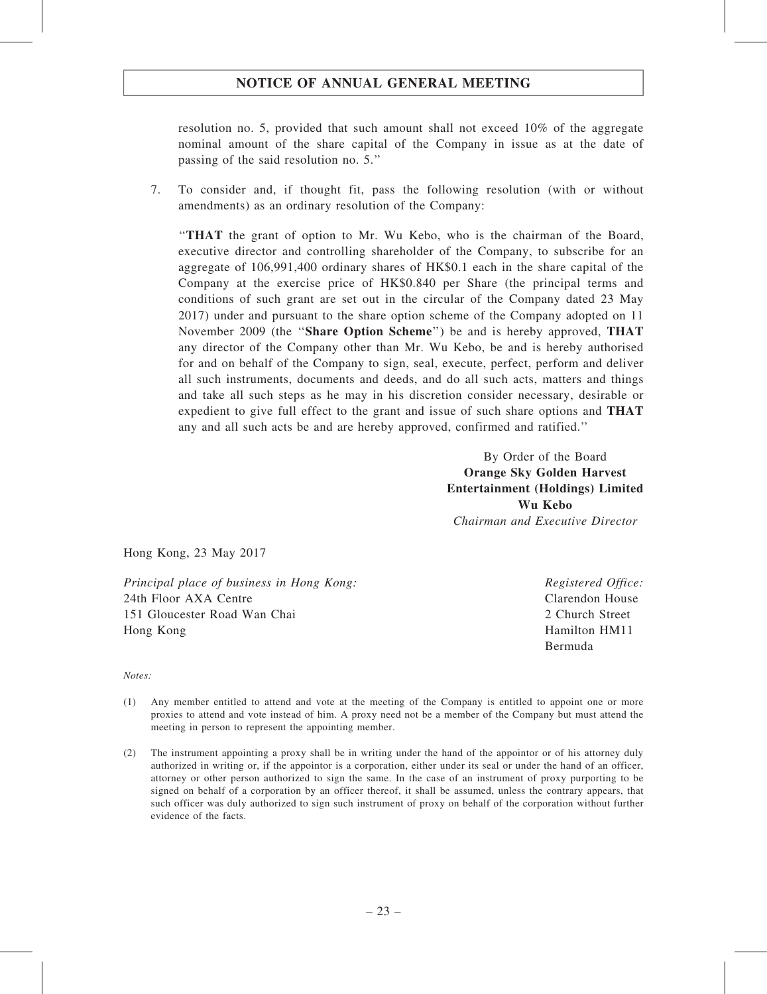resolution no. 5, provided that such amount shall not exceed 10% of the aggregate nominal amount of the share capital of the Company in issue as at the date of passing of the said resolution no. 5.''

7. To consider and, if thought fit, pass the following resolution (with or without amendments) as an ordinary resolution of the Company:

''THAT the grant of option to Mr. Wu Kebo, who is the chairman of the Board, executive director and controlling shareholder of the Company, to subscribe for an aggregate of 106,991,400 ordinary shares of HK\$0.1 each in the share capital of the Company at the exercise price of HK\$0.840 per Share (the principal terms and conditions of such grant are set out in the circular of the Company dated 23 May 2017) under and pursuant to the share option scheme of the Company adopted on 11 November 2009 (the ''Share Option Scheme'') be and is hereby approved, THAT any director of the Company other than Mr. Wu Kebo, be and is hereby authorised for and on behalf of the Company to sign, seal, execute, perfect, perform and deliver all such instruments, documents and deeds, and do all such acts, matters and things and take all such steps as he may in his discretion consider necessary, desirable or expedient to give full effect to the grant and issue of such share options and THAT any and all such acts be and are hereby approved, confirmed and ratified.''

> By Order of the Board Orange Sky Golden Harvest Entertainment (Holdings) Limited Wu Kebo Chairman and Executive Director

Hong Kong, 23 May 2017

Principal place of business in Hong Kong: 24th Floor AXA Centre 151 Gloucester Road Wan Chai Hong Kong

Registered Office: Clarendon House 2 Church Street Hamilton HM11 Bermuda

#### Notes:

- (1) Any member entitled to attend and vote at the meeting of the Company is entitled to appoint one or more proxies to attend and vote instead of him. A proxy need not be a member of the Company but must attend the meeting in person to represent the appointing member.
- (2) The instrument appointing a proxy shall be in writing under the hand of the appointor or of his attorney duly authorized in writing or, if the appointor is a corporation, either under its seal or under the hand of an officer, attorney or other person authorized to sign the same. In the case of an instrument of proxy purporting to be signed on behalf of a corporation by an officer thereof, it shall be assumed, unless the contrary appears, that such officer was duly authorized to sign such instrument of proxy on behalf of the corporation without further evidence of the facts.